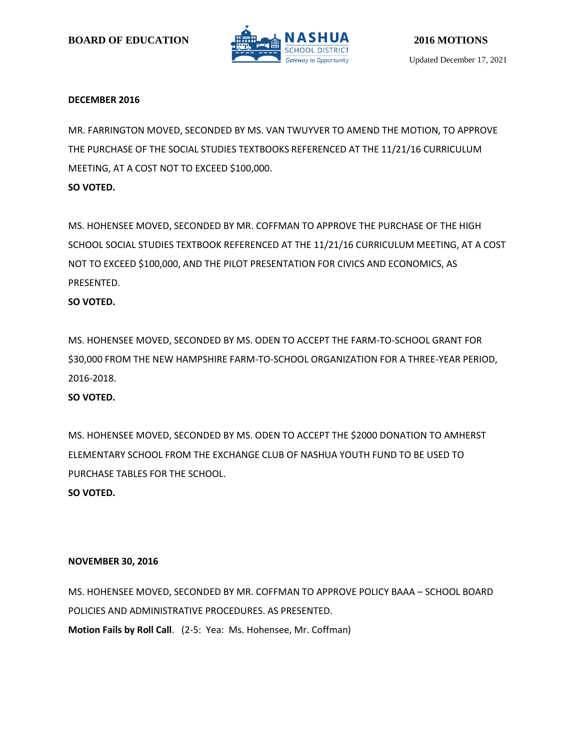

### **DECEMBER 2016**

MR. FARRINGTON MOVED, SECONDED BY MS. VAN TWUYVER TO AMEND THE MOTION, TO APPROVE THE PURCHASE OF THE SOCIAL STUDIES TEXTBOOKS REFERENCED AT THE 11/21/16 CURRICULUM MEETING, AT A COST NOT TO EXCEED \$100,000.

### **SO VOTED.**

MS. HOHENSEE MOVED, SECONDED BY MR. COFFMAN TO APPROVE THE PURCHASE OF THE HIGH SCHOOL SOCIAL STUDIES TEXTBOOK REFERENCED AT THE 11/21/16 CURRICULUM MEETING, AT A COST NOT TO EXCEED \$100,000, AND THE PILOT PRESENTATION FOR CIVICS AND ECONOMICS, AS PRESENTED.

# **SO VOTED.**

MS. HOHENSEE MOVED, SECONDED BY MS. ODEN TO ACCEPT THE FARM-TO-SCHOOL GRANT FOR \$30,000 FROM THE NEW HAMPSHIRE FARM-TO-SCHOOL ORGANIZATION FOR A THREE-YEAR PERIOD, 2016-2018.

# **SO VOTED.**

MS. HOHENSEE MOVED, SECONDED BY MS. ODEN TO ACCEPT THE \$2000 DONATION TO AMHERST ELEMENTARY SCHOOL FROM THE EXCHANGE CLUB OF NASHUA YOUTH FUND TO BE USED TO PURCHASE TABLES FOR THE SCHOOL. **SO VOTED.**

### **NOVEMBER 30, 2016**

MS. HOHENSEE MOVED, SECONDED BY MR. COFFMAN TO APPROVE POLICY BAAA – SCHOOL BOARD POLICIES AND ADMINISTRATIVE PROCEDURES. AS PRESENTED. **Motion Fails by Roll Call**. (2-5: Yea: Ms. Hohensee, Mr. Coffman)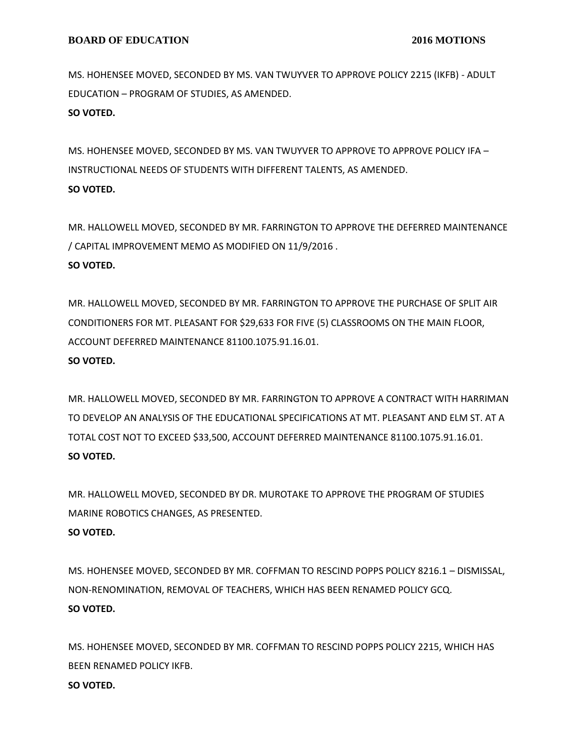MS. HOHENSEE MOVED, SECONDED BY MS. VAN TWUYVER TO APPROVE POLICY 2215 (IKFB) - ADULT EDUCATION – PROGRAM OF STUDIES, AS AMENDED. **SO VOTED.**

MS. HOHENSEE MOVED, SECONDED BY MS. VAN TWUYVER TO APPROVE TO APPROVE POLICY IFA – INSTRUCTIONAL NEEDS OF STUDENTS WITH DIFFERENT TALENTS, AS AMENDED. **SO VOTED.**

MR. HALLOWELL MOVED, SECONDED BY MR. FARRINGTON TO APPROVE THE DEFERRED MAINTENANCE / CAPITAL IMPROVEMENT MEMO AS MODIFIED ON 11/9/2016 . **SO VOTED.**

MR. HALLOWELL MOVED, SECONDED BY MR. FARRINGTON TO APPROVE THE PURCHASE OF SPLIT AIR CONDITIONERS FOR MT. PLEASANT FOR \$29,633 FOR FIVE (5) CLASSROOMS ON THE MAIN FLOOR, ACCOUNT DEFERRED MAINTENANCE 81100.1075.91.16.01.

### **SO VOTED.**

MR. HALLOWELL MOVED, SECONDED BY MR. FARRINGTON TO APPROVE A CONTRACT WITH HARRIMAN TO DEVELOP AN ANALYSIS OF THE EDUCATIONAL SPECIFICATIONS AT MT. PLEASANT AND ELM ST. AT A TOTAL COST NOT TO EXCEED \$33,500, ACCOUNT DEFERRED MAINTENANCE 81100.1075.91.16.01. **SO VOTED.**

MR. HALLOWELL MOVED, SECONDED BY DR. MUROTAKE TO APPROVE THE PROGRAM OF STUDIES MARINE ROBOTICS CHANGES, AS PRESENTED. **SO VOTED.**

MS. HOHENSEE MOVED, SECONDED BY MR. COFFMAN TO RESCIND POPPS POLICY 8216.1 – DISMISSAL, NON-RENOMINATION, REMOVAL OF TEACHERS, WHICH HAS BEEN RENAMED POLICY GCQ. **SO VOTED.**

MS. HOHENSEE MOVED, SECONDED BY MR. COFFMAN TO RESCIND POPPS POLICY 2215, WHICH HAS BEEN RENAMED POLICY IKFB. **SO VOTED.**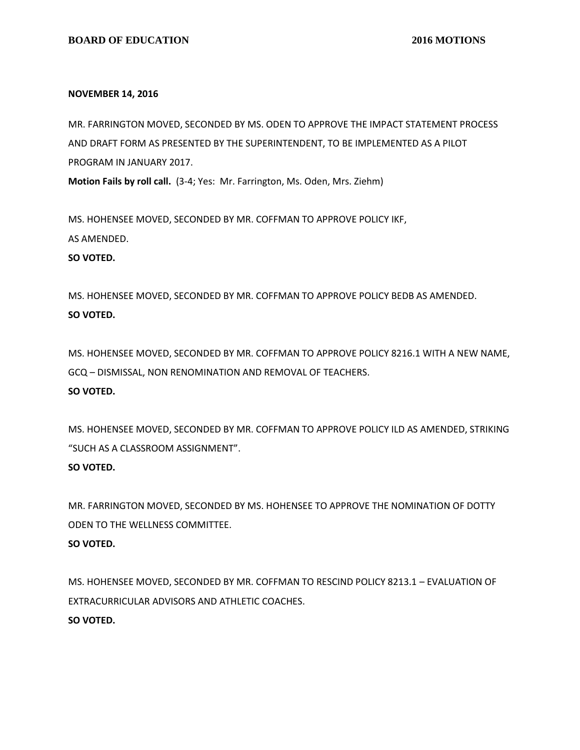### **NOVEMBER 14, 2016**

MR. FARRINGTON MOVED, SECONDED BY MS. ODEN TO APPROVE THE IMPACT STATEMENT PROCESS AND DRAFT FORM AS PRESENTED BY THE SUPERINTENDENT, TO BE IMPLEMENTED AS A PILOT PROGRAM IN JANUARY 2017.

**Motion Fails by roll call.** (3-4; Yes: Mr. Farrington, Ms. Oden, Mrs. Ziehm)

MS. HOHENSEE MOVED, SECONDED BY MR. COFFMAN TO APPROVE POLICY IKF, AS AMENDED.

#### **SO VOTED.**

MS. HOHENSEE MOVED, SECONDED BY MR. COFFMAN TO APPROVE POLICY BEDB AS AMENDED. **SO VOTED.**

MS. HOHENSEE MOVED, SECONDED BY MR. COFFMAN TO APPROVE POLICY 8216.1 WITH A NEW NAME, GCQ – DISMISSAL, NON RENOMINATION AND REMOVAL OF TEACHERS. **SO VOTED.**

MS. HOHENSEE MOVED, SECONDED BY MR. COFFMAN TO APPROVE POLICY ILD AS AMENDED, STRIKING "SUCH AS A CLASSROOM ASSIGNMENT".

# **SO VOTED.**

MR. FARRINGTON MOVED, SECONDED BY MS. HOHENSEE TO APPROVE THE NOMINATION OF DOTTY ODEN TO THE WELLNESS COMMITTEE. **SO VOTED.**

MS. HOHENSEE MOVED, SECONDED BY MR. COFFMAN TO RESCIND POLICY 8213.1 – EVALUATION OF EXTRACURRICULAR ADVISORS AND ATHLETIC COACHES. **SO VOTED.**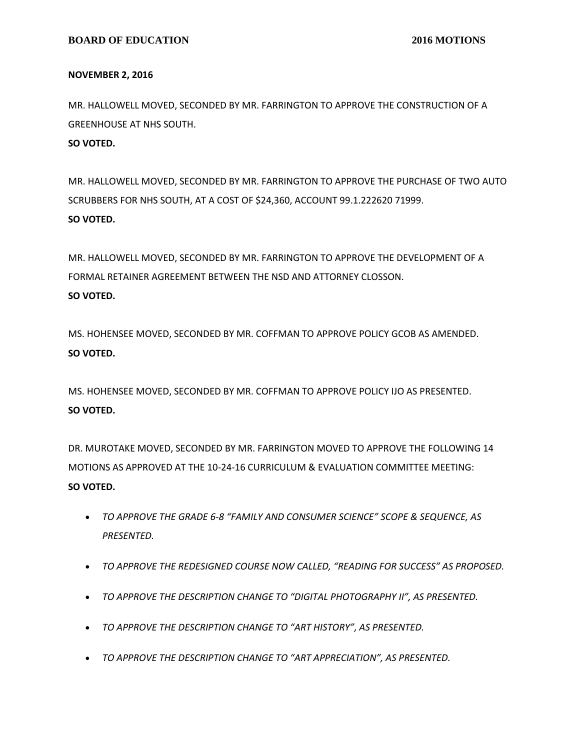#### **NOVEMBER 2, 2016**

MR. HALLOWELL MOVED, SECONDED BY MR. FARRINGTON TO APPROVE THE CONSTRUCTION OF A GREENHOUSE AT NHS SOUTH.

# **SO VOTED.**

MR. HALLOWELL MOVED, SECONDED BY MR. FARRINGTON TO APPROVE THE PURCHASE OF TWO AUTO SCRUBBERS FOR NHS SOUTH, AT A COST OF \$24,360, ACCOUNT 99.1.222620 71999. **SO VOTED.**

MR. HALLOWELL MOVED, SECONDED BY MR. FARRINGTON TO APPROVE THE DEVELOPMENT OF A FORMAL RETAINER AGREEMENT BETWEEN THE NSD AND ATTORNEY CLOSSON. **SO VOTED.**

MS. HOHENSEE MOVED, SECONDED BY MR. COFFMAN TO APPROVE POLICY GCOB AS AMENDED. **SO VOTED.**

MS. HOHENSEE MOVED, SECONDED BY MR. COFFMAN TO APPROVE POLICY IJO AS PRESENTED. **SO VOTED.**

DR. MUROTAKE MOVED, SECONDED BY MR. FARRINGTON MOVED TO APPROVE THE FOLLOWING 14 MOTIONS AS APPROVED AT THE 10-24-16 CURRICULUM & EVALUATION COMMITTEE MEETING: **SO VOTED.**

- *TO APPROVE THE GRADE 6-8 "FAMILY AND CONSUMER SCIENCE" SCOPE & SEQUENCE, AS PRESENTED.*
- *TO APPROVE THE REDESIGNED COURSE NOW CALLED, "READING FOR SUCCESS" AS PROPOSED.*
- *TO APPROVE THE DESCRIPTION CHANGE TO "DIGITAL PHOTOGRAPHY II", AS PRESENTED.*
- *TO APPROVE THE DESCRIPTION CHANGE TO "ART HISTORY", AS PRESENTED.*
- *TO APPROVE THE DESCRIPTION CHANGE TO "ART APPRECIATION", AS PRESENTED.*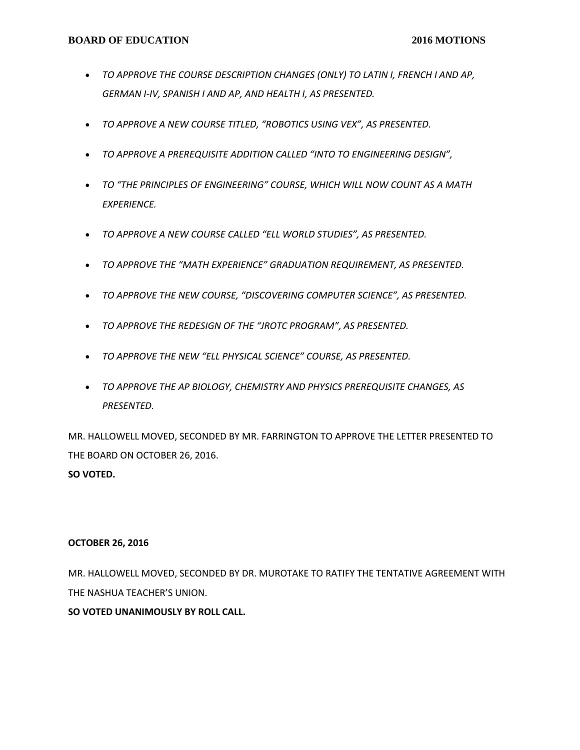- *TO APPROVE THE COURSE DESCRIPTION CHANGES (ONLY) TO LATIN I, FRENCH I AND AP, GERMAN I-IV, SPANISH I AND AP, AND HEALTH I, AS PRESENTED.*
- *TO APPROVE A NEW COURSE TITLED, "ROBOTICS USING VEX", AS PRESENTED.*
- *TO APPROVE A PREREQUISITE ADDITION CALLED "INTO TO ENGINEERING DESIGN",*
- *TO "THE PRINCIPLES OF ENGINEERING" COURSE, WHICH WILL NOW COUNT AS A MATH EXPERIENCE.*
- *TO APPROVE A NEW COURSE CALLED "ELL WORLD STUDIES", AS PRESENTED.*
- *TO APPROVE THE "MATH EXPERIENCE" GRADUATION REQUIREMENT, AS PRESENTED.*
- *TO APPROVE THE NEW COURSE, "DISCOVERING COMPUTER SCIENCE", AS PRESENTED.*
- *TO APPROVE THE REDESIGN OF THE "JROTC PROGRAM", AS PRESENTED.*
- *TO APPROVE THE NEW "ELL PHYSICAL SCIENCE" COURSE, AS PRESENTED.*
- *TO APPROVE THE AP BIOLOGY, CHEMISTRY AND PHYSICS PREREQUISITE CHANGES, AS PRESENTED.*

MR. HALLOWELL MOVED, SECONDED BY MR. FARRINGTON TO APPROVE THE LETTER PRESENTED TO THE BOARD ON OCTOBER 26, 2016. **SO VOTED.**

# **OCTOBER 26, 2016**

MR. HALLOWELL MOVED, SECONDED BY DR. MUROTAKE TO RATIFY THE TENTATIVE AGREEMENT WITH THE NASHUA TEACHER'S UNION.

# **SO VOTED UNANIMOUSLY BY ROLL CALL.**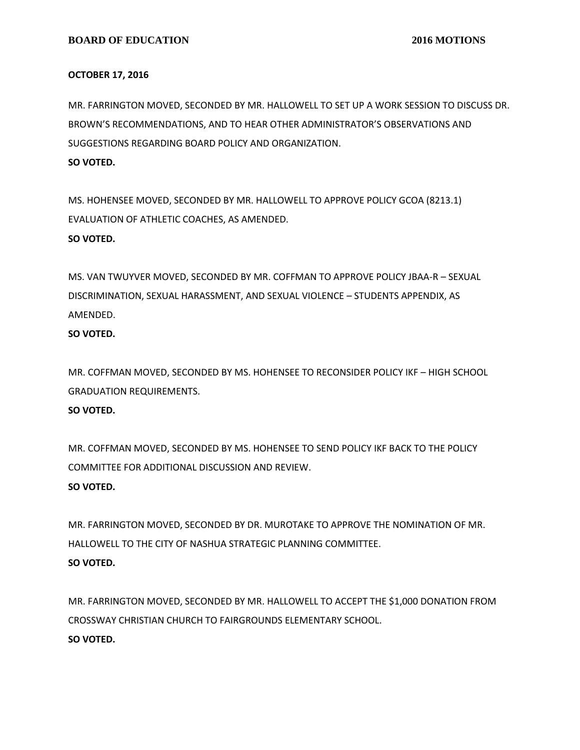### **OCTOBER 17, 2016**

MR. FARRINGTON MOVED, SECONDED BY MR. HALLOWELL TO SET UP A WORK SESSION TO DISCUSS DR. BROWN'S RECOMMENDATIONS, AND TO HEAR OTHER ADMINISTRATOR'S OBSERVATIONS AND SUGGESTIONS REGARDING BOARD POLICY AND ORGANIZATION. **SO VOTED.**

MS. HOHENSEE MOVED, SECONDED BY MR. HALLOWELL TO APPROVE POLICY GCOA (8213.1) EVALUATION OF ATHLETIC COACHES, AS AMENDED. **SO VOTED.**

MS. VAN TWUYVER MOVED, SECONDED BY MR. COFFMAN TO APPROVE POLICY JBAA-R – SEXUAL DISCRIMINATION, SEXUAL HARASSMENT, AND SEXUAL VIOLENCE – STUDENTS APPENDIX, AS AMENDED.

**SO VOTED.**

MR. COFFMAN MOVED, SECONDED BY MS. HOHENSEE TO RECONSIDER POLICY IKF – HIGH SCHOOL GRADUATION REQUIREMENTS.

# **SO VOTED.**

MR. COFFMAN MOVED, SECONDED BY MS. HOHENSEE TO SEND POLICY IKF BACK TO THE POLICY COMMITTEE FOR ADDITIONAL DISCUSSION AND REVIEW.

# **SO VOTED.**

MR. FARRINGTON MOVED, SECONDED BY DR. MUROTAKE TO APPROVE THE NOMINATION OF MR. HALLOWELL TO THE CITY OF NASHUA STRATEGIC PLANNING COMMITTEE. **SO VOTED.**

MR. FARRINGTON MOVED, SECONDED BY MR. HALLOWELL TO ACCEPT THE \$1,000 DONATION FROM CROSSWAY CHRISTIAN CHURCH TO FAIRGROUNDS ELEMENTARY SCHOOL. **SO VOTED.**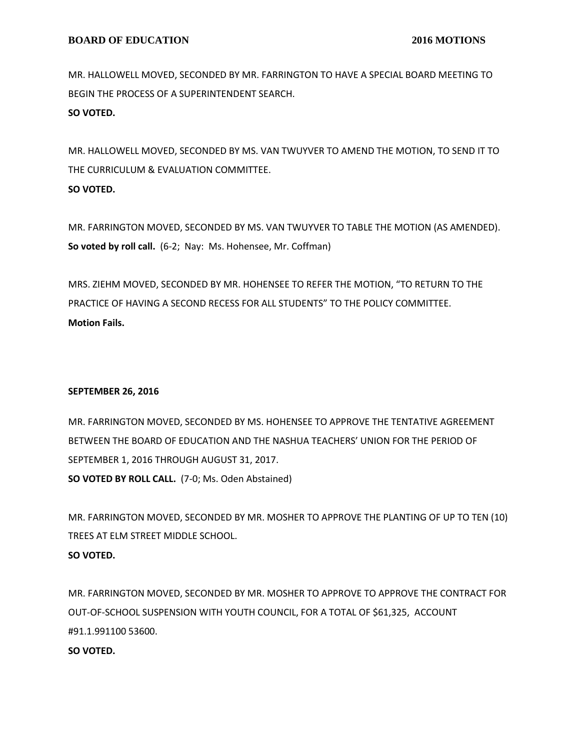MR. HALLOWELL MOVED, SECONDED BY MR. FARRINGTON TO HAVE A SPECIAL BOARD MEETING TO BEGIN THE PROCESS OF A SUPERINTENDENT SEARCH. **SO VOTED.**

MR. HALLOWELL MOVED, SECONDED BY MS. VAN TWUYVER TO AMEND THE MOTION, TO SEND IT TO THE CURRICULUM & EVALUATION COMMITTEE. **SO VOTED.**

MR. FARRINGTON MOVED, SECONDED BY MS. VAN TWUYVER TO TABLE THE MOTION (AS AMENDED). **So voted by roll call.** (6-2; Nay: Ms. Hohensee, Mr. Coffman)

MRS. ZIEHM MOVED, SECONDED BY MR. HOHENSEE TO REFER THE MOTION, "TO RETURN TO THE PRACTICE OF HAVING A SECOND RECESS FOR ALL STUDENTS" TO THE POLICY COMMITTEE. **Motion Fails.**

# **SEPTEMBER 26, 2016**

MR. FARRINGTON MOVED, SECONDED BY MS. HOHENSEE TO APPROVE THE TENTATIVE AGREEMENT BETWEEN THE BOARD OF EDUCATION AND THE NASHUA TEACHERS' UNION FOR THE PERIOD OF SEPTEMBER 1, 2016 THROUGH AUGUST 31, 2017. **SO VOTED BY ROLL CALL.** (7-0; Ms. Oden Abstained)

MR. FARRINGTON MOVED, SECONDED BY MR. MOSHER TO APPROVE THE PLANTING OF UP TO TEN (10) TREES AT ELM STREET MIDDLE SCHOOL. **SO VOTED.**

MR. FARRINGTON MOVED, SECONDED BY MR. MOSHER TO APPROVE TO APPROVE THE CONTRACT FOR OUT-OF-SCHOOL SUSPENSION WITH YOUTH COUNCIL, FOR A TOTAL OF \$61,325, ACCOUNT #91.1.991100 53600.

# **SO VOTED.**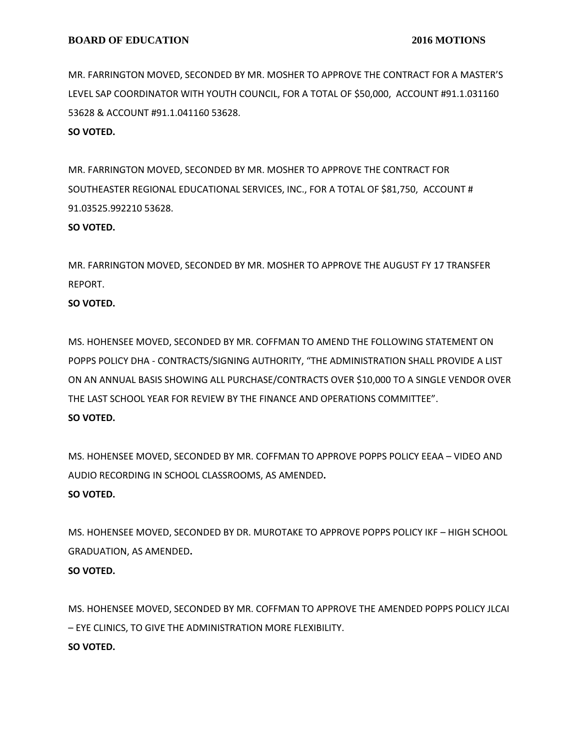MR. FARRINGTON MOVED, SECONDED BY MR. MOSHER TO APPROVE THE CONTRACT FOR A MASTER'S LEVEL SAP COORDINATOR WITH YOUTH COUNCIL, FOR A TOTAL OF \$50,000, ACCOUNT #91.1.031160 53628 & ACCOUNT #91.1.041160 53628.

### **SO VOTED.**

MR. FARRINGTON MOVED, SECONDED BY MR. MOSHER TO APPROVE THE CONTRACT FOR SOUTHEASTER REGIONAL EDUCATIONAL SERVICES, INC., FOR A TOTAL OF \$81,750, ACCOUNT # 91.03525.992210 53628.

### **SO VOTED.**

MR. FARRINGTON MOVED, SECONDED BY MR. MOSHER TO APPROVE THE AUGUST FY 17 TRANSFER REPORT.

# **SO VOTED.**

MS. HOHENSEE MOVED, SECONDED BY MR. COFFMAN TO AMEND THE FOLLOWING STATEMENT ON POPPS POLICY DHA - CONTRACTS/SIGNING AUTHORITY, "THE ADMINISTRATION SHALL PROVIDE A LIST ON AN ANNUAL BASIS SHOWING ALL PURCHASE/CONTRACTS OVER \$10,000 TO A SINGLE VENDOR OVER THE LAST SCHOOL YEAR FOR REVIEW BY THE FINANCE AND OPERATIONS COMMITTEE". **SO VOTED.**

MS. HOHENSEE MOVED, SECONDED BY MR. COFFMAN TO APPROVE POPPS POLICY EEAA – VIDEO AND AUDIO RECORDING IN SCHOOL CLASSROOMS, AS AMENDED**. SO VOTED.**

MS. HOHENSEE MOVED, SECONDED BY DR. MUROTAKE TO APPROVE POPPS POLICY IKF – HIGH SCHOOL GRADUATION, AS AMENDED**.**

# **SO VOTED.**

MS. HOHENSEE MOVED, SECONDED BY MR. COFFMAN TO APPROVE THE AMENDED POPPS POLICY JLCAI – EYE CLINICS, TO GIVE THE ADMINISTRATION MORE FLEXIBILITY. **SO VOTED.**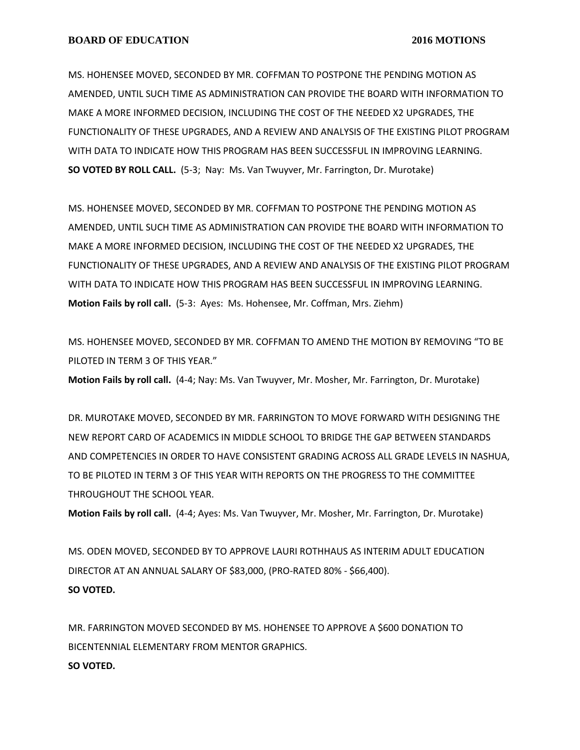MS. HOHENSEE MOVED, SECONDED BY MR. COFFMAN TO POSTPONE THE PENDING MOTION AS AMENDED, UNTIL SUCH TIME AS ADMINISTRATION CAN PROVIDE THE BOARD WITH INFORMATION TO MAKE A MORE INFORMED DECISION, INCLUDING THE COST OF THE NEEDED X2 UPGRADES, THE FUNCTIONALITY OF THESE UPGRADES, AND A REVIEW AND ANALYSIS OF THE EXISTING PILOT PROGRAM WITH DATA TO INDICATE HOW THIS PROGRAM HAS BEEN SUCCESSFUL IN IMPROVING LEARNING. **SO VOTED BY ROLL CALL.** (5-3; Nay: Ms. Van Twuyver, Mr. Farrington, Dr. Murotake)

MS. HOHENSEE MOVED, SECONDED BY MR. COFFMAN TO POSTPONE THE PENDING MOTION AS AMENDED, UNTIL SUCH TIME AS ADMINISTRATION CAN PROVIDE THE BOARD WITH INFORMATION TO MAKE A MORE INFORMED DECISION, INCLUDING THE COST OF THE NEEDED X2 UPGRADES, THE FUNCTIONALITY OF THESE UPGRADES, AND A REVIEW AND ANALYSIS OF THE EXISTING PILOT PROGRAM WITH DATA TO INDICATE HOW THIS PROGRAM HAS BEEN SUCCESSFUL IN IMPROVING LEARNING. **Motion Fails by roll call.** (5-3: Ayes: Ms. Hohensee, Mr. Coffman, Mrs. Ziehm)

MS. HOHENSEE MOVED, SECONDED BY MR. COFFMAN TO AMEND THE MOTION BY REMOVING "TO BE PILOTED IN TERM 3 OF THIS YEAR."

**Motion Fails by roll call.** (4-4; Nay: Ms. Van Twuyver, Mr. Mosher, Mr. Farrington, Dr. Murotake)

DR. MUROTAKE MOVED, SECONDED BY MR. FARRINGTON TO MOVE FORWARD WITH DESIGNING THE NEW REPORT CARD OF ACADEMICS IN MIDDLE SCHOOL TO BRIDGE THE GAP BETWEEN STANDARDS AND COMPETENCIES IN ORDER TO HAVE CONSISTENT GRADING ACROSS ALL GRADE LEVELS IN NASHUA, TO BE PILOTED IN TERM 3 OF THIS YEAR WITH REPORTS ON THE PROGRESS TO THE COMMITTEE THROUGHOUT THE SCHOOL YEAR.

**Motion Fails by roll call.** (4-4; Ayes: Ms. Van Twuyver, Mr. Mosher, Mr. Farrington, Dr. Murotake)

MS. ODEN MOVED, SECONDED BY TO APPROVE LAURI ROTHHAUS AS INTERIM ADULT EDUCATION DIRECTOR AT AN ANNUAL SALARY OF \$83,000, (PRO-RATED 80% - \$66,400). **SO VOTED.**

MR. FARRINGTON MOVED SECONDED BY MS. HOHENSEE TO APPROVE A \$600 DONATION TO BICENTENNIAL ELEMENTARY FROM MENTOR GRAPHICS. **SO VOTED.**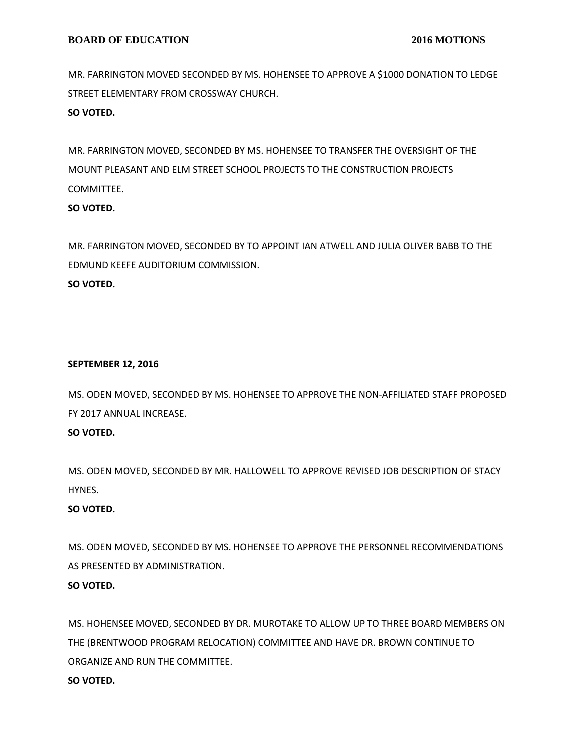MR. FARRINGTON MOVED SECONDED BY MS. HOHENSEE TO APPROVE A \$1000 DONATION TO LEDGE STREET ELEMENTARY FROM CROSSWAY CHURCH. **SO VOTED.**

MR. FARRINGTON MOVED, SECONDED BY MS. HOHENSEE TO TRANSFER THE OVERSIGHT OF THE MOUNT PLEASANT AND ELM STREET SCHOOL PROJECTS TO THE CONSTRUCTION PROJECTS COMMITTEE.

# **SO VOTED.**

MR. FARRINGTON MOVED, SECONDED BY TO APPOINT IAN ATWELL AND JULIA OLIVER BABB TO THE EDMUND KEEFE AUDITORIUM COMMISSION. **SO VOTED.**

# **SEPTEMBER 12, 2016**

MS. ODEN MOVED, SECONDED BY MS. HOHENSEE TO APPROVE THE NON-AFFILIATED STAFF PROPOSED FY 2017 ANNUAL INCREASE.

# **SO VOTED.**

MS. ODEN MOVED, SECONDED BY MR. HALLOWELL TO APPROVE REVISED JOB DESCRIPTION OF STACY HYNES.

# **SO VOTED.**

MS. ODEN MOVED, SECONDED BY MS. HOHENSEE TO APPROVE THE PERSONNEL RECOMMENDATIONS AS PRESENTED BY ADMINISTRATION.

# **SO VOTED.**

MS. HOHENSEE MOVED, SECONDED BY DR. MUROTAKE TO ALLOW UP TO THREE BOARD MEMBERS ON THE (BRENTWOOD PROGRAM RELOCATION) COMMITTEE AND HAVE DR. BROWN CONTINUE TO ORGANIZE AND RUN THE COMMITTEE.

# **SO VOTED.**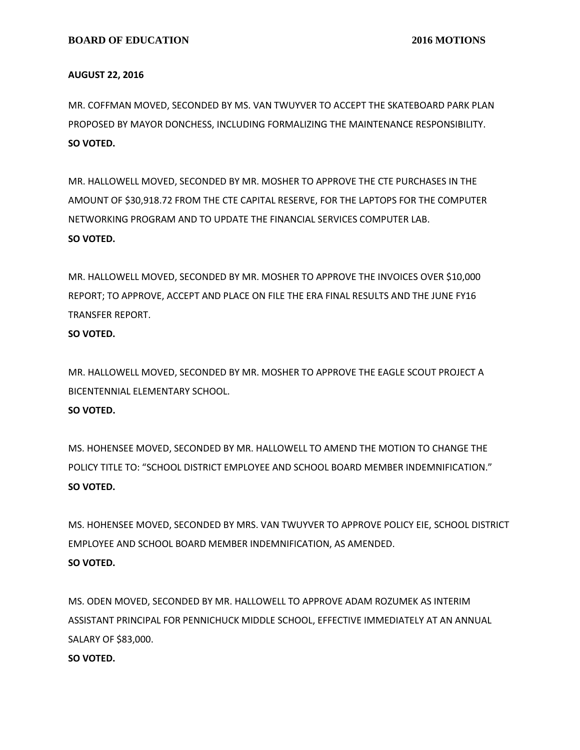### **AUGUST 22, 2016**

MR. COFFMAN MOVED, SECONDED BY MS. VAN TWUYVER TO ACCEPT THE SKATEBOARD PARK PLAN PROPOSED BY MAYOR DONCHESS, INCLUDING FORMALIZING THE MAINTENANCE RESPONSIBILITY. **SO VOTED.**

MR. HALLOWELL MOVED, SECONDED BY MR. MOSHER TO APPROVE THE CTE PURCHASES IN THE AMOUNT OF \$30,918.72 FROM THE CTE CAPITAL RESERVE, FOR THE LAPTOPS FOR THE COMPUTER NETWORKING PROGRAM AND TO UPDATE THE FINANCIAL SERVICES COMPUTER LAB. **SO VOTED.**

MR. HALLOWELL MOVED, SECONDED BY MR. MOSHER TO APPROVE THE INVOICES OVER \$10,000 REPORT; TO APPROVE, ACCEPT AND PLACE ON FILE THE ERA FINAL RESULTS AND THE JUNE FY16 TRANSFER REPORT.

# **SO VOTED.**

MR. HALLOWELL MOVED, SECONDED BY MR. MOSHER TO APPROVE THE EAGLE SCOUT PROJECT A BICENTENNIAL ELEMENTARY SCHOOL. **SO VOTED.**

MS. HOHENSEE MOVED, SECONDED BY MR. HALLOWELL TO AMEND THE MOTION TO CHANGE THE POLICY TITLE TO: "SCHOOL DISTRICT EMPLOYEE AND SCHOOL BOARD MEMBER INDEMNIFICATION." **SO VOTED.**

MS. HOHENSEE MOVED, SECONDED BY MRS. VAN TWUYVER TO APPROVE POLICY EIE, SCHOOL DISTRICT EMPLOYEE AND SCHOOL BOARD MEMBER INDEMNIFICATION, AS AMENDED. **SO VOTED.**

MS. ODEN MOVED, SECONDED BY MR. HALLOWELL TO APPROVE ADAM ROZUMEK AS INTERIM ASSISTANT PRINCIPAL FOR PENNICHUCK MIDDLE SCHOOL, EFFECTIVE IMMEDIATELY AT AN ANNUAL SALARY OF \$83,000.

# **SO VOTED.**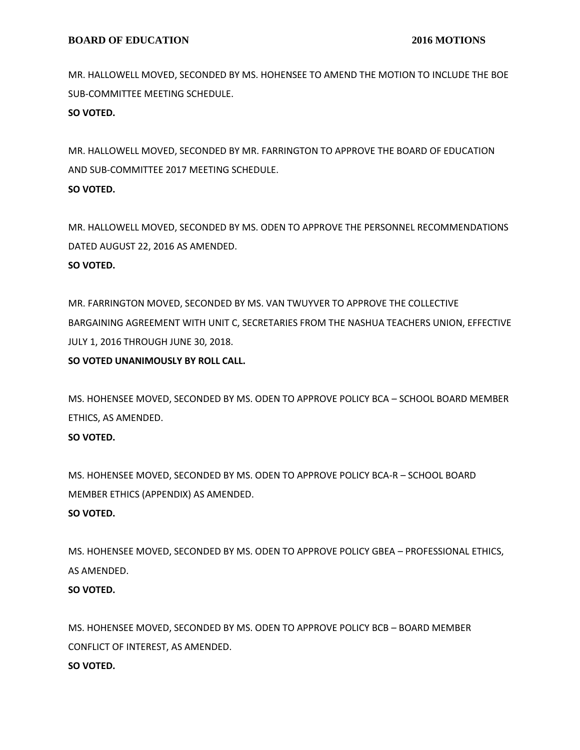MR. HALLOWELL MOVED, SECONDED BY MS. HOHENSEE TO AMEND THE MOTION TO INCLUDE THE BOE SUB-COMMITTEE MEETING SCHEDULE.

**SO VOTED.**

MR. HALLOWELL MOVED, SECONDED BY MR. FARRINGTON TO APPROVE THE BOARD OF EDUCATION AND SUB-COMMITTEE 2017 MEETING SCHEDULE. **SO VOTED.**

MR. HALLOWELL MOVED, SECONDED BY MS. ODEN TO APPROVE THE PERSONNEL RECOMMENDATIONS DATED AUGUST 22, 2016 AS AMENDED. **SO VOTED.**

MR. FARRINGTON MOVED, SECONDED BY MS. VAN TWUYVER TO APPROVE THE COLLECTIVE BARGAINING AGREEMENT WITH UNIT C, SECRETARIES FROM THE NASHUA TEACHERS UNION, EFFECTIVE JULY 1, 2016 THROUGH JUNE 30, 2018.

**SO VOTED UNANIMOUSLY BY ROLL CALL.**

MS. HOHENSEE MOVED, SECONDED BY MS. ODEN TO APPROVE POLICY BCA – SCHOOL BOARD MEMBER ETHICS, AS AMENDED.

# **SO VOTED.**

MS. HOHENSEE MOVED, SECONDED BY MS. ODEN TO APPROVE POLICY BCA-R – SCHOOL BOARD MEMBER ETHICS (APPENDIX) AS AMENDED.

# **SO VOTED.**

MS. HOHENSEE MOVED, SECONDED BY MS. ODEN TO APPROVE POLICY GBEA – PROFESSIONAL ETHICS, AS AMENDED.

# **SO VOTED.**

MS. HOHENSEE MOVED, SECONDED BY MS. ODEN TO APPROVE POLICY BCB – BOARD MEMBER CONFLICT OF INTEREST, AS AMENDED. **SO VOTED.**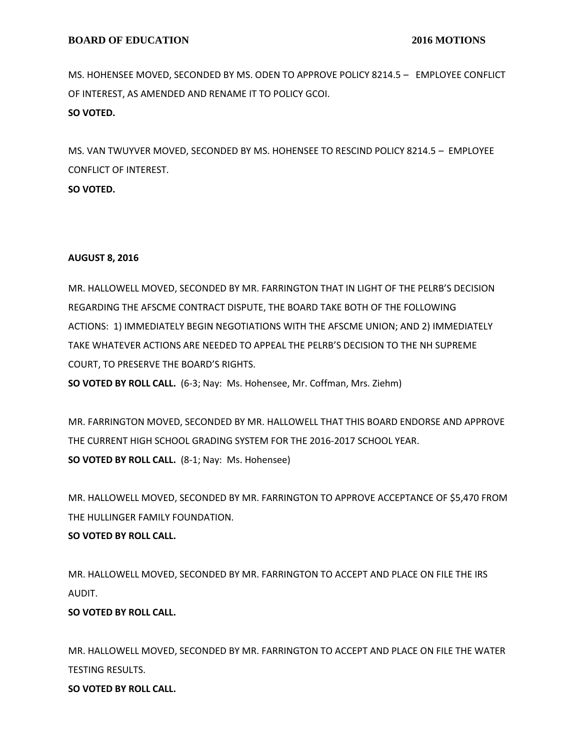MS. HOHENSEE MOVED, SECONDED BY MS. ODEN TO APPROVE POLICY 8214.5 – EMPLOYEE CONFLICT OF INTEREST, AS AMENDED AND RENAME IT TO POLICY GCOI. **SO VOTED.**

MS. VAN TWUYVER MOVED, SECONDED BY MS. HOHENSEE TO RESCIND POLICY 8214.5 – EMPLOYEE CONFLICT OF INTEREST. **SO VOTED.**

# **AUGUST 8, 2016**

MR. HALLOWELL MOVED, SECONDED BY MR. FARRINGTON THAT IN LIGHT OF THE PELRB'S DECISION REGARDING THE AFSCME CONTRACT DISPUTE, THE BOARD TAKE BOTH OF THE FOLLOWING ACTIONS: 1) IMMEDIATELY BEGIN NEGOTIATIONS WITH THE AFSCME UNION; AND 2) IMMEDIATELY TAKE WHATEVER ACTIONS ARE NEEDED TO APPEAL THE PELRB'S DECISION TO THE NH SUPREME COURT, TO PRESERVE THE BOARD'S RIGHTS.

**SO VOTED BY ROLL CALL.** (6-3; Nay: Ms. Hohensee, Mr. Coffman, Mrs. Ziehm)

MR. FARRINGTON MOVED, SECONDED BY MR. HALLOWELL THAT THIS BOARD ENDORSE AND APPROVE THE CURRENT HIGH SCHOOL GRADING SYSTEM FOR THE 2016-2017 SCHOOL YEAR. **SO VOTED BY ROLL CALL.** (8-1; Nay: Ms. Hohensee)

MR. HALLOWELL MOVED, SECONDED BY MR. FARRINGTON TO APPROVE ACCEPTANCE OF \$5,470 FROM THE HULLINGER FAMILY FOUNDATION.

# **SO VOTED BY ROLL CALL.**

MR. HALLOWELL MOVED, SECONDED BY MR. FARRINGTON TO ACCEPT AND PLACE ON FILE THE IRS AUDIT.

# **SO VOTED BY ROLL CALL.**

MR. HALLOWELL MOVED, SECONDED BY MR. FARRINGTON TO ACCEPT AND PLACE ON FILE THE WATER TESTING RESULTS.

**SO VOTED BY ROLL CALL.**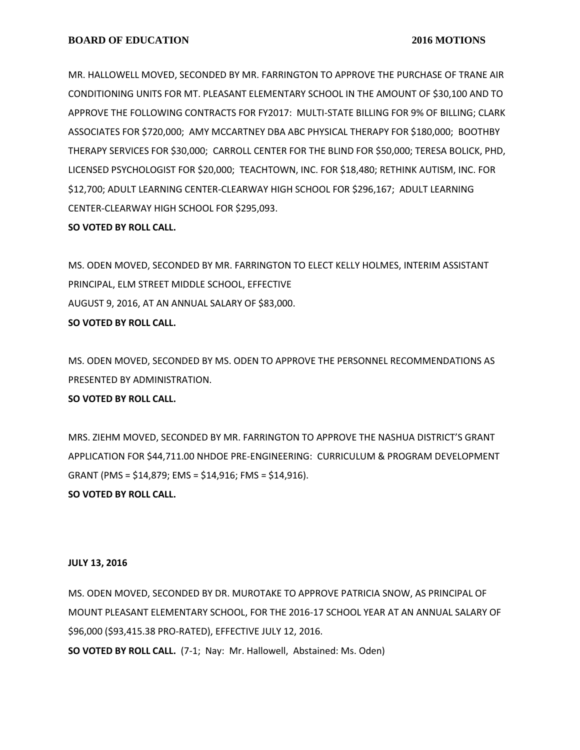MR. HALLOWELL MOVED, SECONDED BY MR. FARRINGTON TO APPROVE THE PURCHASE OF TRANE AIR CONDITIONING UNITS FOR MT. PLEASANT ELEMENTARY SCHOOL IN THE AMOUNT OF \$30,100 AND TO APPROVE THE FOLLOWING CONTRACTS FOR FY2017: MULTI-STATE BILLING FOR 9% OF BILLING; CLARK ASSOCIATES FOR \$720,000; AMY MCCARTNEY DBA ABC PHYSICAL THERAPY FOR \$180,000; BOOTHBY THERAPY SERVICES FOR \$30,000; CARROLL CENTER FOR THE BLIND FOR \$50,000; TERESA BOLICK, PHD, LICENSED PSYCHOLOGIST FOR \$20,000; TEACHTOWN, INC. FOR \$18,480; RETHINK AUTISM, INC. FOR \$12,700; ADULT LEARNING CENTER-CLEARWAY HIGH SCHOOL FOR \$296,167; ADULT LEARNING CENTER-CLEARWAY HIGH SCHOOL FOR \$295,093.

# **SO VOTED BY ROLL CALL.**

MS. ODEN MOVED, SECONDED BY MR. FARRINGTON TO ELECT KELLY HOLMES, INTERIM ASSISTANT PRINCIPAL, ELM STREET MIDDLE SCHOOL, EFFECTIVE AUGUST 9, 2016, AT AN ANNUAL SALARY OF \$83,000. **SO VOTED BY ROLL CALL.**

MS. ODEN MOVED, SECONDED BY MS. ODEN TO APPROVE THE PERSONNEL RECOMMENDATIONS AS PRESENTED BY ADMINISTRATION.

# **SO VOTED BY ROLL CALL.**

MRS. ZIEHM MOVED, SECONDED BY MR. FARRINGTON TO APPROVE THE NASHUA DISTRICT'S GRANT APPLICATION FOR \$44,711.00 NHDOE PRE-ENGINEERING: CURRICULUM & PROGRAM DEVELOPMENT GRANT (PMS = \$14,879; EMS = \$14,916; FMS = \$14,916).

# **SO VOTED BY ROLL CALL.**

# **JULY 13, 2016**

MS. ODEN MOVED, SECONDED BY DR. MUROTAKE TO APPROVE PATRICIA SNOW, AS PRINCIPAL OF MOUNT PLEASANT ELEMENTARY SCHOOL, FOR THE 2016-17 SCHOOL YEAR AT AN ANNUAL SALARY OF \$96,000 (\$93,415.38 PRO-RATED), EFFECTIVE JULY 12, 2016.

**SO VOTED BY ROLL CALL.** (7-1; Nay: Mr. Hallowell, Abstained: Ms. Oden)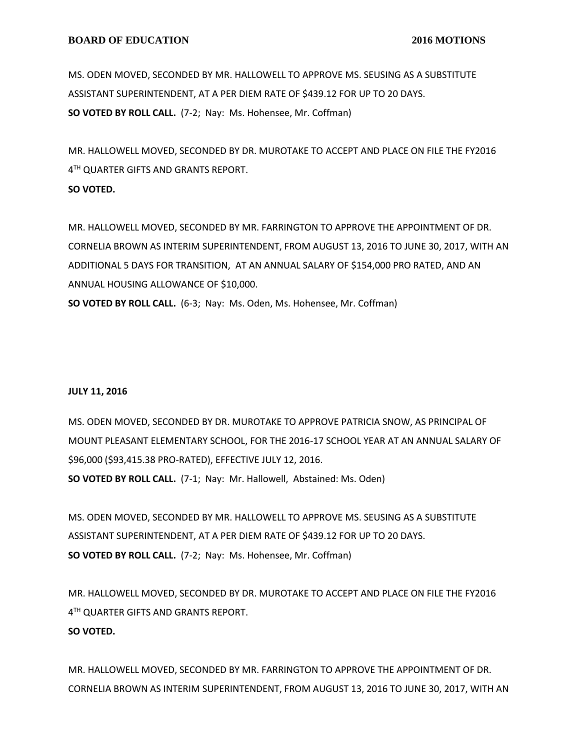MS. ODEN MOVED, SECONDED BY MR. HALLOWELL TO APPROVE MS. SEUSING AS A SUBSTITUTE ASSISTANT SUPERINTENDENT, AT A PER DIEM RATE OF \$439.12 FOR UP TO 20 DAYS. **SO VOTED BY ROLL CALL.** (7-2; Nay: Ms. Hohensee, Mr. Coffman)

MR. HALLOWELL MOVED, SECONDED BY DR. MUROTAKE TO ACCEPT AND PLACE ON FILE THE FY2016 4 TH QUARTER GIFTS AND GRANTS REPORT.

### **SO VOTED.**

MR. HALLOWELL MOVED, SECONDED BY MR. FARRINGTON TO APPROVE THE APPOINTMENT OF DR. CORNELIA BROWN AS INTERIM SUPERINTENDENT, FROM AUGUST 13, 2016 TO JUNE 30, 2017, WITH AN ADDITIONAL 5 DAYS FOR TRANSITION, AT AN ANNUAL SALARY OF \$154,000 PRO RATED, AND AN ANNUAL HOUSING ALLOWANCE OF \$10,000.

**SO VOTED BY ROLL CALL.** (6-3; Nay: Ms. Oden, Ms. Hohensee, Mr. Coffman)

# **JULY 11, 2016**

MS. ODEN MOVED, SECONDED BY DR. MUROTAKE TO APPROVE PATRICIA SNOW, AS PRINCIPAL OF MOUNT PLEASANT ELEMENTARY SCHOOL, FOR THE 2016-17 SCHOOL YEAR AT AN ANNUAL SALARY OF \$96,000 (\$93,415.38 PRO-RATED), EFFECTIVE JULY 12, 2016. **SO VOTED BY ROLL CALL.** (7-1; Nay: Mr. Hallowell, Abstained: Ms. Oden)

MS. ODEN MOVED, SECONDED BY MR. HALLOWELL TO APPROVE MS. SEUSING AS A SUBSTITUTE ASSISTANT SUPERINTENDENT, AT A PER DIEM RATE OF \$439.12 FOR UP TO 20 DAYS. **SO VOTED BY ROLL CALL.** (7-2; Nay: Ms. Hohensee, Mr. Coffman)

MR. HALLOWELL MOVED, SECONDED BY DR. MUROTAKE TO ACCEPT AND PLACE ON FILE THE FY2016 4 TH QUARTER GIFTS AND GRANTS REPORT. **SO VOTED.**

MR. HALLOWELL MOVED, SECONDED BY MR. FARRINGTON TO APPROVE THE APPOINTMENT OF DR. CORNELIA BROWN AS INTERIM SUPERINTENDENT, FROM AUGUST 13, 2016 TO JUNE 30, 2017, WITH AN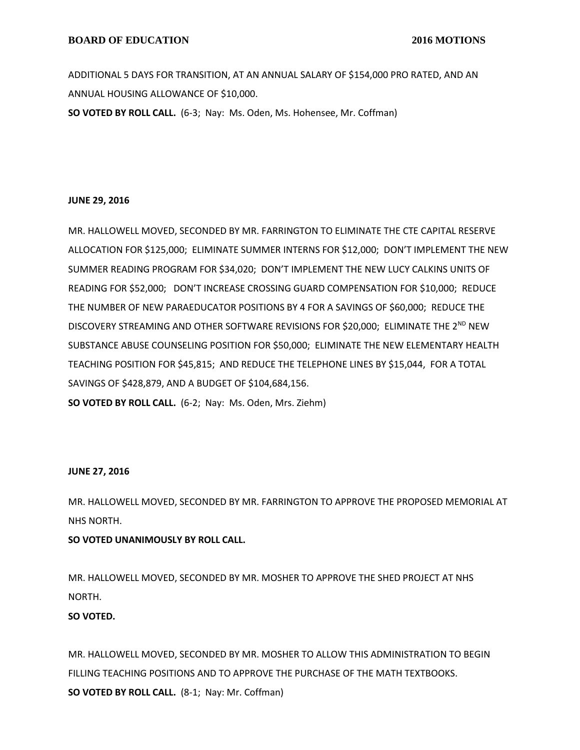ADDITIONAL 5 DAYS FOR TRANSITION, AT AN ANNUAL SALARY OF \$154,000 PRO RATED, AND AN ANNUAL HOUSING ALLOWANCE OF \$10,000.

**SO VOTED BY ROLL CALL.** (6-3; Nay: Ms. Oden, Ms. Hohensee, Mr. Coffman)

### **JUNE 29, 2016**

MR. HALLOWELL MOVED, SECONDED BY MR. FARRINGTON TO ELIMINATE THE CTE CAPITAL RESERVE ALLOCATION FOR \$125,000; ELIMINATE SUMMER INTERNS FOR \$12,000; DON'T IMPLEMENT THE NEW SUMMER READING PROGRAM FOR \$34,020; DON'T IMPLEMENT THE NEW LUCY CALKINS UNITS OF READING FOR \$52,000; DON'T INCREASE CROSSING GUARD COMPENSATION FOR \$10,000; REDUCE THE NUMBER OF NEW PARAEDUCATOR POSITIONS BY 4 FOR A SAVINGS OF \$60,000; REDUCE THE DISCOVERY STREAMING AND OTHER SOFTWARE REVISIONS FOR \$20,000; ELIMINATE THE 2<sup>ND</sup> NEW SUBSTANCE ABUSE COUNSELING POSITION FOR \$50,000; ELIMINATE THE NEW ELEMENTARY HEALTH TEACHING POSITION FOR \$45,815; AND REDUCE THE TELEPHONE LINES BY \$15,044, FOR A TOTAL SAVINGS OF \$428,879, AND A BUDGET OF \$104,684,156.

**SO VOTED BY ROLL CALL.** (6-2; Nay: Ms. Oden, Mrs. Ziehm)

# **JUNE 27, 2016**

MR. HALLOWELL MOVED, SECONDED BY MR. FARRINGTON TO APPROVE THE PROPOSED MEMORIAL AT NHS NORTH.

**SO VOTED UNANIMOUSLY BY ROLL CALL.**

MR. HALLOWELL MOVED, SECONDED BY MR. MOSHER TO APPROVE THE SHED PROJECT AT NHS NORTH.

# **SO VOTED.**

MR. HALLOWELL MOVED, SECONDED BY MR. MOSHER TO ALLOW THIS ADMINISTRATION TO BEGIN FILLING TEACHING POSITIONS AND TO APPROVE THE PURCHASE OF THE MATH TEXTBOOKS. **SO VOTED BY ROLL CALL.** (8-1; Nay: Mr. Coffman)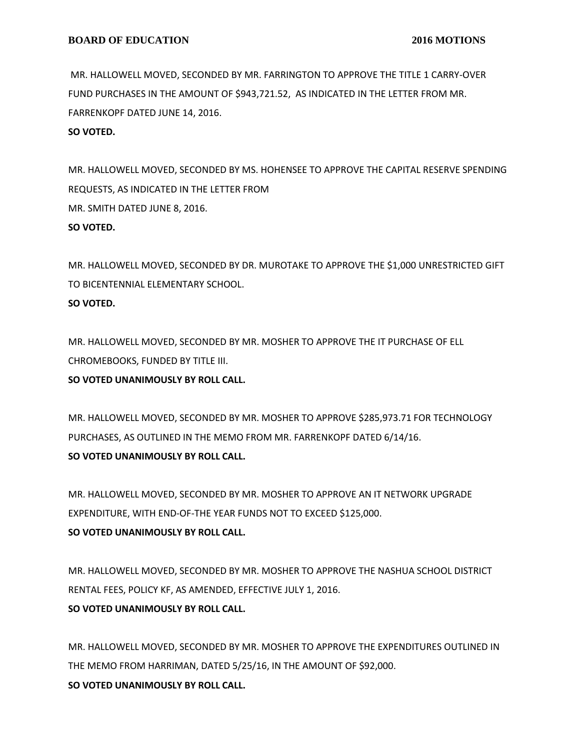MR. HALLOWELL MOVED, SECONDED BY MR. FARRINGTON TO APPROVE THE TITLE 1 CARRY-OVER FUND PURCHASES IN THE AMOUNT OF \$943,721.52, AS INDICATED IN THE LETTER FROM MR. FARRENKOPF DATED JUNE 14, 2016.

**SO VOTED.**

MR. HALLOWELL MOVED, SECONDED BY MS. HOHENSEE TO APPROVE THE CAPITAL RESERVE SPENDING REQUESTS, AS INDICATED IN THE LETTER FROM MR. SMITH DATED JUNE 8, 2016. **SO VOTED.**

MR. HALLOWELL MOVED, SECONDED BY DR. MUROTAKE TO APPROVE THE \$1,000 UNRESTRICTED GIFT TO BICENTENNIAL ELEMENTARY SCHOOL. **SO VOTED.**

MR. HALLOWELL MOVED, SECONDED BY MR. MOSHER TO APPROVE THE IT PURCHASE OF ELL CHROMEBOOKS, FUNDED BY TITLE III.

**SO VOTED UNANIMOUSLY BY ROLL CALL.**

MR. HALLOWELL MOVED, SECONDED BY MR. MOSHER TO APPROVE \$285,973.71 FOR TECHNOLOGY PURCHASES, AS OUTLINED IN THE MEMO FROM MR. FARRENKOPF DATED 6/14/16. **SO VOTED UNANIMOUSLY BY ROLL CALL.**

MR. HALLOWELL MOVED, SECONDED BY MR. MOSHER TO APPROVE AN IT NETWORK UPGRADE EXPENDITURE, WITH END-OF-THE YEAR FUNDS NOT TO EXCEED \$125,000. **SO VOTED UNANIMOUSLY BY ROLL CALL.**

MR. HALLOWELL MOVED, SECONDED BY MR. MOSHER TO APPROVE THE NASHUA SCHOOL DISTRICT RENTAL FEES, POLICY KF, AS AMENDED, EFFECTIVE JULY 1, 2016. **SO VOTED UNANIMOUSLY BY ROLL CALL.**

MR. HALLOWELL MOVED, SECONDED BY MR. MOSHER TO APPROVE THE EXPENDITURES OUTLINED IN THE MEMO FROM HARRIMAN, DATED 5/25/16, IN THE AMOUNT OF \$92,000. **SO VOTED UNANIMOUSLY BY ROLL CALL.**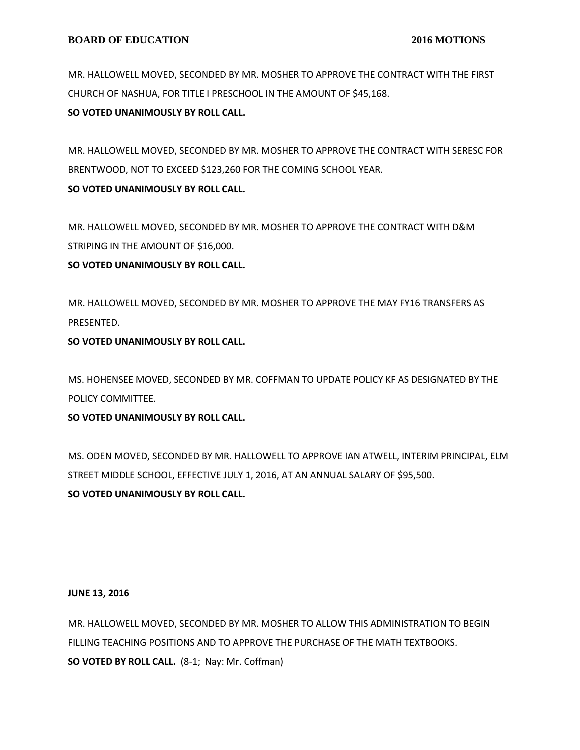MR. HALLOWELL MOVED, SECONDED BY MR. MOSHER TO APPROVE THE CONTRACT WITH THE FIRST CHURCH OF NASHUA, FOR TITLE I PRESCHOOL IN THE AMOUNT OF \$45,168.

**SO VOTED UNANIMOUSLY BY ROLL CALL.**

MR. HALLOWELL MOVED, SECONDED BY MR. MOSHER TO APPROVE THE CONTRACT WITH SERESC FOR BRENTWOOD, NOT TO EXCEED \$123,260 FOR THE COMING SCHOOL YEAR. **SO VOTED UNANIMOUSLY BY ROLL CALL.**

MR. HALLOWELL MOVED, SECONDED BY MR. MOSHER TO APPROVE THE CONTRACT WITH D&M STRIPING IN THE AMOUNT OF \$16,000.

# **SO VOTED UNANIMOUSLY BY ROLL CALL.**

MR. HALLOWELL MOVED, SECONDED BY MR. MOSHER TO APPROVE THE MAY FY16 TRANSFERS AS PRESENTED.

**SO VOTED UNANIMOUSLY BY ROLL CALL.**

MS. HOHENSEE MOVED, SECONDED BY MR. COFFMAN TO UPDATE POLICY KF AS DESIGNATED BY THE POLICY COMMITTEE.

**SO VOTED UNANIMOUSLY BY ROLL CALL.**

MS. ODEN MOVED, SECONDED BY MR. HALLOWELL TO APPROVE IAN ATWELL, INTERIM PRINCIPAL, ELM STREET MIDDLE SCHOOL, EFFECTIVE JULY 1, 2016, AT AN ANNUAL SALARY OF \$95,500. **SO VOTED UNANIMOUSLY BY ROLL CALL.**

# **JUNE 13, 2016**

MR. HALLOWELL MOVED, SECONDED BY MR. MOSHER TO ALLOW THIS ADMINISTRATION TO BEGIN FILLING TEACHING POSITIONS AND TO APPROVE THE PURCHASE OF THE MATH TEXTBOOKS. **SO VOTED BY ROLL CALL.** (8-1; Nay: Mr. Coffman)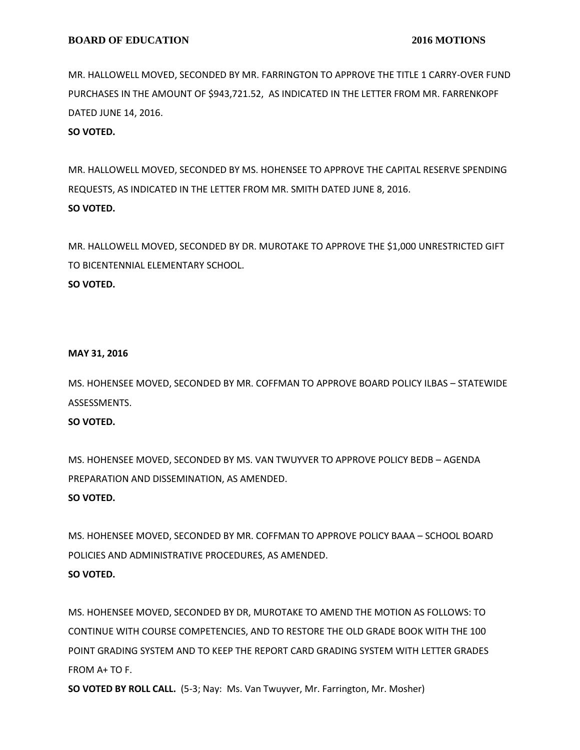MR. HALLOWELL MOVED, SECONDED BY MR. FARRINGTON TO APPROVE THE TITLE 1 CARRY-OVER FUND PURCHASES IN THE AMOUNT OF \$943,721.52, AS INDICATED IN THE LETTER FROM MR. FARRENKOPF DATED JUNE 14, 2016.

**SO VOTED.**

MR. HALLOWELL MOVED, SECONDED BY MS. HOHENSEE TO APPROVE THE CAPITAL RESERVE SPENDING REQUESTS, AS INDICATED IN THE LETTER FROM MR. SMITH DATED JUNE 8, 2016. **SO VOTED.**

MR. HALLOWELL MOVED, SECONDED BY DR. MUROTAKE TO APPROVE THE \$1,000 UNRESTRICTED GIFT TO BICENTENNIAL ELEMENTARY SCHOOL. **SO VOTED.**

#### **MAY 31, 2016**

MS. HOHENSEE MOVED, SECONDED BY MR. COFFMAN TO APPROVE BOARD POLICY ILBAS – STATEWIDE ASSESSMENTS.

# **SO VOTED.**

MS. HOHENSEE MOVED, SECONDED BY MS. VAN TWUYVER TO APPROVE POLICY BEDB – AGENDA PREPARATION AND DISSEMINATION, AS AMENDED.

# **SO VOTED.**

MS. HOHENSEE MOVED, SECONDED BY MR. COFFMAN TO APPROVE POLICY BAAA – SCHOOL BOARD POLICIES AND ADMINISTRATIVE PROCEDURES, AS AMENDED. **SO VOTED.**

MS. HOHENSEE MOVED, SECONDED BY DR, MUROTAKE TO AMEND THE MOTION AS FOLLOWS: TO CONTINUE WITH COURSE COMPETENCIES, AND TO RESTORE THE OLD GRADE BOOK WITH THE 100 POINT GRADING SYSTEM AND TO KEEP THE REPORT CARD GRADING SYSTEM WITH LETTER GRADES FROM A+ TO F.

**SO VOTED BY ROLL CALL.** (5-3; Nay: Ms. Van Twuyver, Mr. Farrington, Mr. Mosher)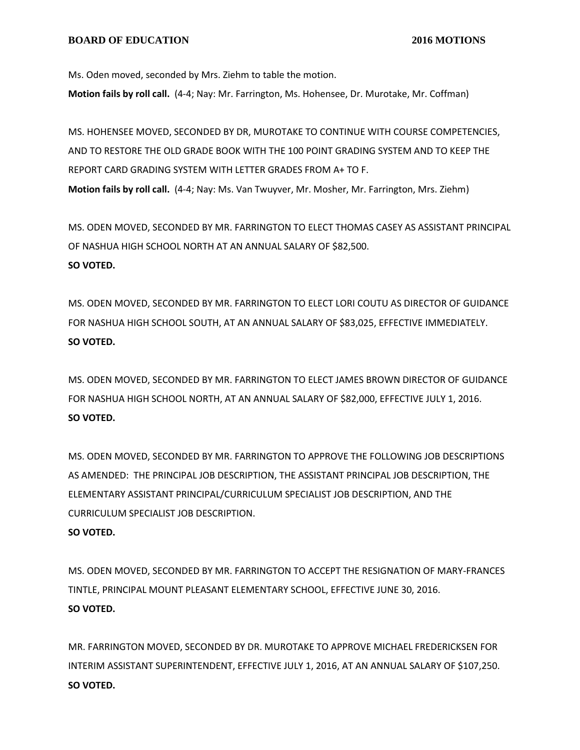Ms. Oden moved, seconded by Mrs. Ziehm to table the motion.

**Motion fails by roll call.** (4-4; Nay: Mr. Farrington, Ms. Hohensee, Dr. Murotake, Mr. Coffman)

MS. HOHENSEE MOVED, SECONDED BY DR, MUROTAKE TO CONTINUE WITH COURSE COMPETENCIES, AND TO RESTORE THE OLD GRADE BOOK WITH THE 100 POINT GRADING SYSTEM AND TO KEEP THE REPORT CARD GRADING SYSTEM WITH LETTER GRADES FROM A+ TO F. **Motion fails by roll call.** (4-4; Nay: Ms. Van Twuyver, Mr. Mosher, Mr. Farrington, Mrs. Ziehm)

MS. ODEN MOVED, SECONDED BY MR. FARRINGTON TO ELECT THOMAS CASEY AS ASSISTANT PRINCIPAL OF NASHUA HIGH SCHOOL NORTH AT AN ANNUAL SALARY OF \$82,500. **SO VOTED.**

MS. ODEN MOVED, SECONDED BY MR. FARRINGTON TO ELECT LORI COUTU AS DIRECTOR OF GUIDANCE FOR NASHUA HIGH SCHOOL SOUTH, AT AN ANNUAL SALARY OF \$83,025, EFFECTIVE IMMEDIATELY. **SO VOTED.**

MS. ODEN MOVED, SECONDED BY MR. FARRINGTON TO ELECT JAMES BROWN DIRECTOR OF GUIDANCE FOR NASHUA HIGH SCHOOL NORTH, AT AN ANNUAL SALARY OF \$82,000, EFFECTIVE JULY 1, 2016. **SO VOTED.**

MS. ODEN MOVED, SECONDED BY MR. FARRINGTON TO APPROVE THE FOLLOWING JOB DESCRIPTIONS AS AMENDED: THE PRINCIPAL JOB DESCRIPTION, THE ASSISTANT PRINCIPAL JOB DESCRIPTION, THE ELEMENTARY ASSISTANT PRINCIPAL/CURRICULUM SPECIALIST JOB DESCRIPTION, AND THE CURRICULUM SPECIALIST JOB DESCRIPTION. **SO VOTED.**

MS. ODEN MOVED, SECONDED BY MR. FARRINGTON TO ACCEPT THE RESIGNATION OF MARY-FRANCES TINTLE, PRINCIPAL MOUNT PLEASANT ELEMENTARY SCHOOL, EFFECTIVE JUNE 30, 2016. **SO VOTED.**

MR. FARRINGTON MOVED, SECONDED BY DR. MUROTAKE TO APPROVE MICHAEL FREDERICKSEN FOR INTERIM ASSISTANT SUPERINTENDENT, EFFECTIVE JULY 1, 2016, AT AN ANNUAL SALARY OF \$107,250. **SO VOTED.**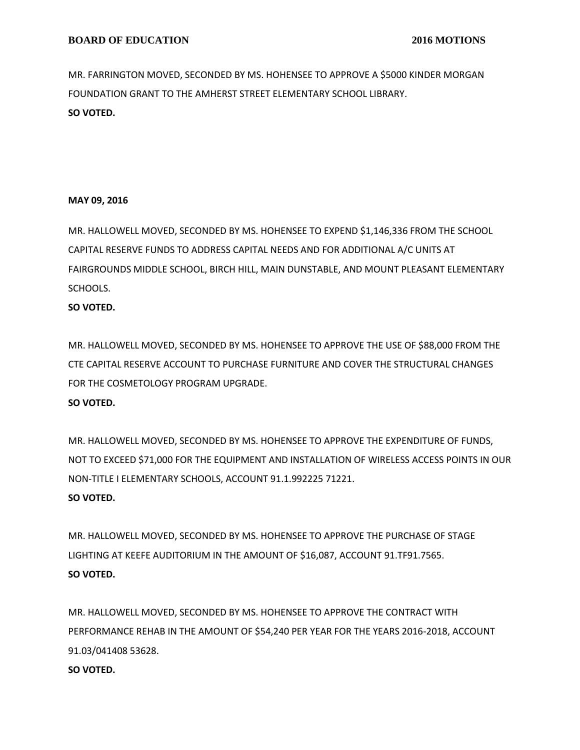MR. FARRINGTON MOVED, SECONDED BY MS. HOHENSEE TO APPROVE A \$5000 KINDER MORGAN FOUNDATION GRANT TO THE AMHERST STREET ELEMENTARY SCHOOL LIBRARY. **SO VOTED.**

# **MAY 09, 2016**

MR. HALLOWELL MOVED, SECONDED BY MS. HOHENSEE TO EXPEND \$1,146,336 FROM THE SCHOOL CAPITAL RESERVE FUNDS TO ADDRESS CAPITAL NEEDS AND FOR ADDITIONAL A/C UNITS AT FAIRGROUNDS MIDDLE SCHOOL, BIRCH HILL, MAIN DUNSTABLE, AND MOUNT PLEASANT ELEMENTARY SCHOOLS.

# **SO VOTED.**

MR. HALLOWELL MOVED, SECONDED BY MS. HOHENSEE TO APPROVE THE USE OF \$88,000 FROM THE CTE CAPITAL RESERVE ACCOUNT TO PURCHASE FURNITURE AND COVER THE STRUCTURAL CHANGES FOR THE COSMETOLOGY PROGRAM UPGRADE.

# **SO VOTED.**

MR. HALLOWELL MOVED, SECONDED BY MS. HOHENSEE TO APPROVE THE EXPENDITURE OF FUNDS, NOT TO EXCEED \$71,000 FOR THE EQUIPMENT AND INSTALLATION OF WIRELESS ACCESS POINTS IN OUR NON-TITLE I ELEMENTARY SCHOOLS, ACCOUNT 91.1.992225 71221.

# **SO VOTED.**

MR. HALLOWELL MOVED, SECONDED BY MS. HOHENSEE TO APPROVE THE PURCHASE OF STAGE LIGHTING AT KEEFE AUDITORIUM IN THE AMOUNT OF \$16,087, ACCOUNT 91.TF91.7565. **SO VOTED.**

MR. HALLOWELL MOVED, SECONDED BY MS. HOHENSEE TO APPROVE THE CONTRACT WITH PERFORMANCE REHAB IN THE AMOUNT OF \$54,240 PER YEAR FOR THE YEARS 2016-2018, ACCOUNT 91.03/041408 53628.

# **SO VOTED.**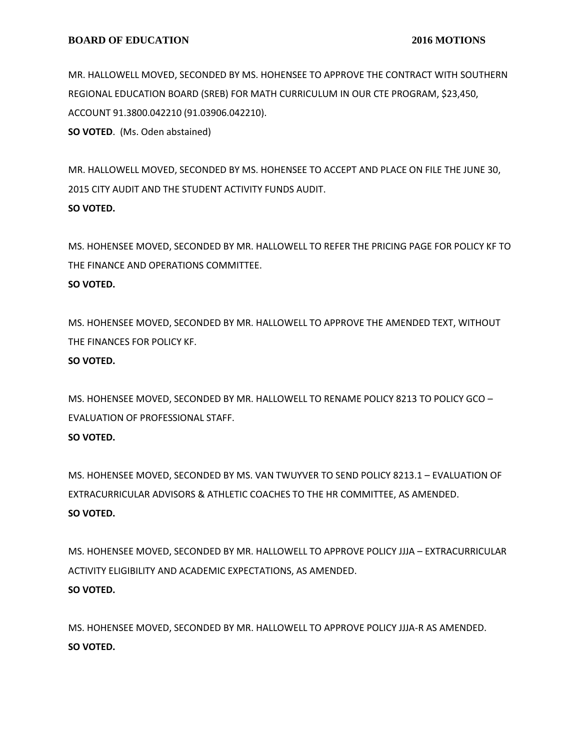MR. HALLOWELL MOVED, SECONDED BY MS. HOHENSEE TO APPROVE THE CONTRACT WITH SOUTHERN REGIONAL EDUCATION BOARD (SREB) FOR MATH CURRICULUM IN OUR CTE PROGRAM, \$23,450, ACCOUNT 91.3800.042210 (91.03906.042210).

**SO VOTED**. (Ms. Oden abstained)

MR. HALLOWELL MOVED, SECONDED BY MS. HOHENSEE TO ACCEPT AND PLACE ON FILE THE JUNE 30, 2015 CITY AUDIT AND THE STUDENT ACTIVITY FUNDS AUDIT. **SO VOTED.**

MS. HOHENSEE MOVED, SECONDED BY MR. HALLOWELL TO REFER THE PRICING PAGE FOR POLICY KF TO THE FINANCE AND OPERATIONS COMMITTEE. **SO VOTED.**

MS. HOHENSEE MOVED, SECONDED BY MR. HALLOWELL TO APPROVE THE AMENDED TEXT, WITHOUT THE FINANCES FOR POLICY KF.

# **SO VOTED.**

MS. HOHENSEE MOVED, SECONDED BY MR. HALLOWELL TO RENAME POLICY 8213 TO POLICY GCO – EVALUATION OF PROFESSIONAL STAFF.

# **SO VOTED.**

MS. HOHENSEE MOVED, SECONDED BY MS. VAN TWUYVER TO SEND POLICY 8213.1 – EVALUATION OF EXTRACURRICULAR ADVISORS & ATHLETIC COACHES TO THE HR COMMITTEE, AS AMENDED. **SO VOTED.**

MS. HOHENSEE MOVED, SECONDED BY MR. HALLOWELL TO APPROVE POLICY JJJA – EXTRACURRICULAR ACTIVITY ELIGIBILITY AND ACADEMIC EXPECTATIONS, AS AMENDED. **SO VOTED.**

MS. HOHENSEE MOVED, SECONDED BY MR. HALLOWELL TO APPROVE POLICY JJJA-R AS AMENDED. **SO VOTED.**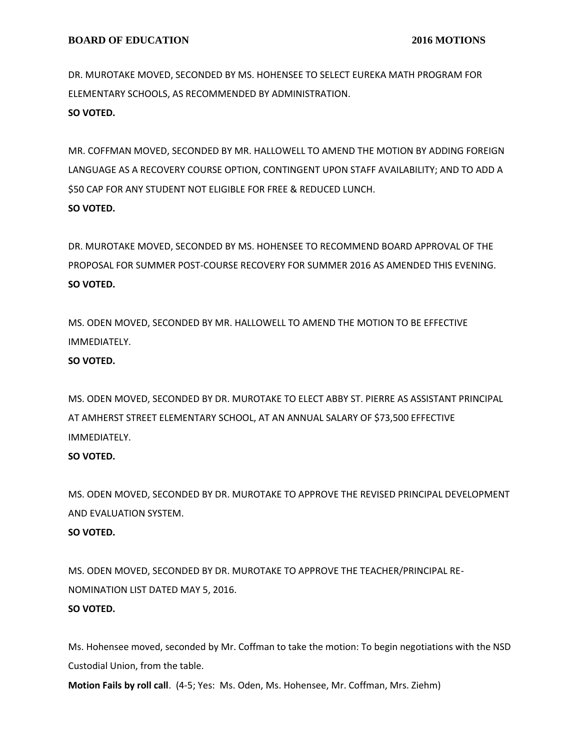DR. MUROTAKE MOVED, SECONDED BY MS. HOHENSEE TO SELECT EUREKA MATH PROGRAM FOR ELEMENTARY SCHOOLS, AS RECOMMENDED BY ADMINISTRATION. **SO VOTED.**

MR. COFFMAN MOVED, SECONDED BY MR. HALLOWELL TO AMEND THE MOTION BY ADDING FOREIGN LANGUAGE AS A RECOVERY COURSE OPTION, CONTINGENT UPON STAFF AVAILABILITY; AND TO ADD A \$50 CAP FOR ANY STUDENT NOT ELIGIBLE FOR FREE & REDUCED LUNCH. **SO VOTED.**

DR. MUROTAKE MOVED, SECONDED BY MS. HOHENSEE TO RECOMMEND BOARD APPROVAL OF THE PROPOSAL FOR SUMMER POST-COURSE RECOVERY FOR SUMMER 2016 AS AMENDED THIS EVENING. **SO VOTED.**

MS. ODEN MOVED, SECONDED BY MR. HALLOWELL TO AMEND THE MOTION TO BE EFFECTIVE IMMEDIATELY.

### **SO VOTED.**

MS. ODEN MOVED, SECONDED BY DR. MUROTAKE TO ELECT ABBY ST. PIERRE AS ASSISTANT PRINCIPAL AT AMHERST STREET ELEMENTARY SCHOOL, AT AN ANNUAL SALARY OF \$73,500 EFFECTIVE IMMEDIATELY.

# **SO VOTED.**

MS. ODEN MOVED, SECONDED BY DR. MUROTAKE TO APPROVE THE REVISED PRINCIPAL DEVELOPMENT AND EVALUATION SYSTEM. **SO VOTED.**

MS. ODEN MOVED, SECONDED BY DR. MUROTAKE TO APPROVE THE TEACHER/PRINCIPAL RE-NOMINATION LIST DATED MAY 5, 2016. **SO VOTED.**

Ms. Hohensee moved, seconded by Mr. Coffman to take the motion: To begin negotiations with the NSD Custodial Union, from the table.

**Motion Fails by roll call**. (4-5; Yes: Ms. Oden, Ms. Hohensee, Mr. Coffman, Mrs. Ziehm)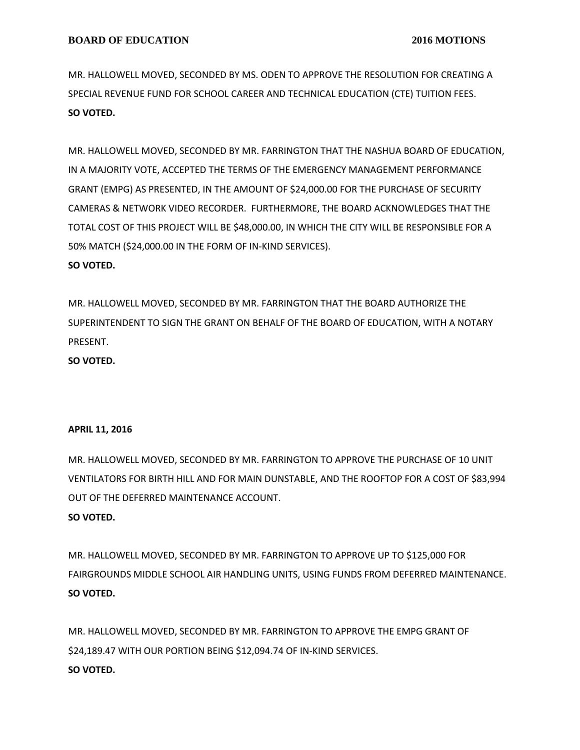MR. HALLOWELL MOVED, SECONDED BY MS. ODEN TO APPROVE THE RESOLUTION FOR CREATING A SPECIAL REVENUE FUND FOR SCHOOL CAREER AND TECHNICAL EDUCATION (CTE) TUITION FEES. **SO VOTED.**

MR. HALLOWELL MOVED, SECONDED BY MR. FARRINGTON THAT THE NASHUA BOARD OF EDUCATION, IN A MAJORITY VOTE, ACCEPTED THE TERMS OF THE EMERGENCY MANAGEMENT PERFORMANCE GRANT (EMPG) AS PRESENTED, IN THE AMOUNT OF \$24,000.00 FOR THE PURCHASE OF SECURITY CAMERAS & NETWORK VIDEO RECORDER. FURTHERMORE, THE BOARD ACKNOWLEDGES THAT THE TOTAL COST OF THIS PROJECT WILL BE \$48,000.00, IN WHICH THE CITY WILL BE RESPONSIBLE FOR A 50% MATCH (\$24,000.00 IN THE FORM OF IN-KIND SERVICES). **SO VOTED.**

MR. HALLOWELL MOVED, SECONDED BY MR. FARRINGTON THAT THE BOARD AUTHORIZE THE SUPERINTENDENT TO SIGN THE GRANT ON BEHALF OF THE BOARD OF EDUCATION, WITH A NOTARY PRESENT.

**SO VOTED.**

#### **APRIL 11, 2016**

MR. HALLOWELL MOVED, SECONDED BY MR. FARRINGTON TO APPROVE THE PURCHASE OF 10 UNIT VENTILATORS FOR BIRTH HILL AND FOR MAIN DUNSTABLE, AND THE ROOFTOP FOR A COST OF \$83,994 OUT OF THE DEFERRED MAINTENANCE ACCOUNT. **SO VOTED.**

MR. HALLOWELL MOVED, SECONDED BY MR. FARRINGTON TO APPROVE UP TO \$125,000 FOR FAIRGROUNDS MIDDLE SCHOOL AIR HANDLING UNITS, USING FUNDS FROM DEFERRED MAINTENANCE. **SO VOTED.**

MR. HALLOWELL MOVED, SECONDED BY MR. FARRINGTON TO APPROVE THE EMPG GRANT OF \$24,189.47 WITH OUR PORTION BEING \$12,094.74 OF IN-KIND SERVICES. **SO VOTED.**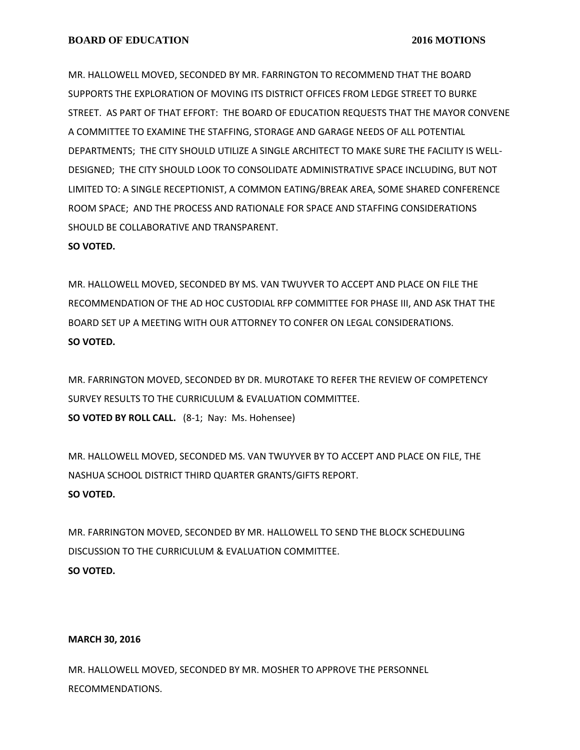MR. HALLOWELL MOVED, SECONDED BY MR. FARRINGTON TO RECOMMEND THAT THE BOARD SUPPORTS THE EXPLORATION OF MOVING ITS DISTRICT OFFICES FROM LEDGE STREET TO BURKE STREET. AS PART OF THAT EFFORT: THE BOARD OF EDUCATION REQUESTS THAT THE MAYOR CONVENE A COMMITTEE TO EXAMINE THE STAFFING, STORAGE AND GARAGE NEEDS OF ALL POTENTIAL DEPARTMENTS; THE CITY SHOULD UTILIZE A SINGLE ARCHITECT TO MAKE SURE THE FACILITY IS WELL-DESIGNED; THE CITY SHOULD LOOK TO CONSOLIDATE ADMINISTRATIVE SPACE INCLUDING, BUT NOT LIMITED TO: A SINGLE RECEPTIONIST, A COMMON EATING/BREAK AREA, SOME SHARED CONFERENCE ROOM SPACE; AND THE PROCESS AND RATIONALE FOR SPACE AND STAFFING CONSIDERATIONS SHOULD BE COLLABORATIVE AND TRANSPARENT.

**SO VOTED.**

MR. HALLOWELL MOVED, SECONDED BY MS. VAN TWUYVER TO ACCEPT AND PLACE ON FILE THE RECOMMENDATION OF THE AD HOC CUSTODIAL RFP COMMITTEE FOR PHASE III, AND ASK THAT THE BOARD SET UP A MEETING WITH OUR ATTORNEY TO CONFER ON LEGAL CONSIDERATIONS. **SO VOTED.**

MR. FARRINGTON MOVED, SECONDED BY DR. MUROTAKE TO REFER THE REVIEW OF COMPETENCY SURVEY RESULTS TO THE CURRICULUM & EVALUATION COMMITTEE. **SO VOTED BY ROLL CALL.** (8-1; Nay: Ms. Hohensee)

MR. HALLOWELL MOVED, SECONDED MS. VAN TWUYVER BY TO ACCEPT AND PLACE ON FILE, THE NASHUA SCHOOL DISTRICT THIRD QUARTER GRANTS/GIFTS REPORT. **SO VOTED.**

MR. FARRINGTON MOVED, SECONDED BY MR. HALLOWELL TO SEND THE BLOCK SCHEDULING DISCUSSION TO THE CURRICULUM & EVALUATION COMMITTEE. **SO VOTED.**

#### **MARCH 30, 2016**

MR. HALLOWELL MOVED, SECONDED BY MR. MOSHER TO APPROVE THE PERSONNEL RECOMMENDATIONS.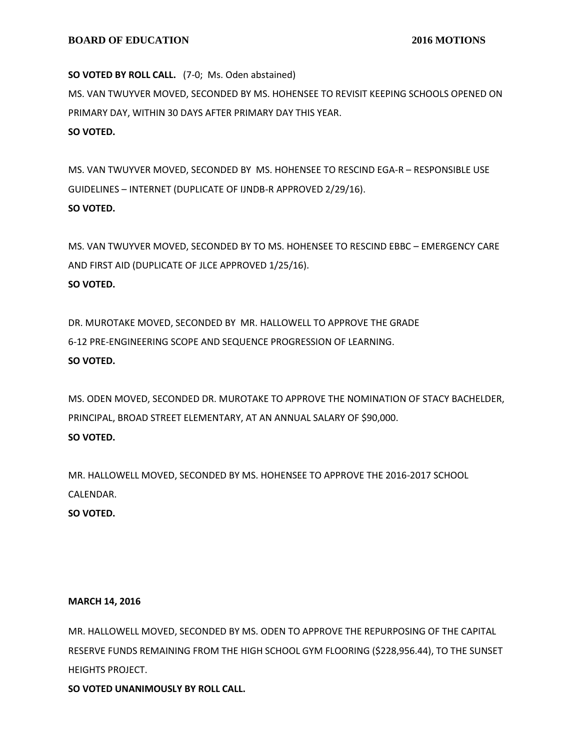**SO VOTED BY ROLL CALL.** (7-0; Ms. Oden abstained) MS. VAN TWUYVER MOVED, SECONDED BY MS. HOHENSEE TO REVISIT KEEPING SCHOOLS OPENED ON PRIMARY DAY, WITHIN 30 DAYS AFTER PRIMARY DAY THIS YEAR. **SO VOTED.**

MS. VAN TWUYVER MOVED, SECONDED BY MS. HOHENSEE TO RESCIND EGA-R – RESPONSIBLE USE GUIDELINES – INTERNET (DUPLICATE OF IJNDB-R APPROVED 2/29/16). **SO VOTED.**

MS. VAN TWUYVER MOVED, SECONDED BY TO MS. HOHENSEE TO RESCIND EBBC – EMERGENCY CARE AND FIRST AID (DUPLICATE OF JLCE APPROVED 1/25/16). **SO VOTED.**

DR. MUROTAKE MOVED, SECONDED BY MR. HALLOWELL TO APPROVE THE GRADE 6-12 PRE-ENGINEERING SCOPE AND SEQUENCE PROGRESSION OF LEARNING. **SO VOTED.**

MS. ODEN MOVED, SECONDED DR. MUROTAKE TO APPROVE THE NOMINATION OF STACY BACHELDER, PRINCIPAL, BROAD STREET ELEMENTARY, AT AN ANNUAL SALARY OF \$90,000. **SO VOTED.**

MR. HALLOWELL MOVED, SECONDED BY MS. HOHENSEE TO APPROVE THE 2016-2017 SCHOOL CALENDAR.

**SO VOTED.**

# **MARCH 14, 2016**

MR. HALLOWELL MOVED, SECONDED BY MS. ODEN TO APPROVE THE REPURPOSING OF THE CAPITAL RESERVE FUNDS REMAINING FROM THE HIGH SCHOOL GYM FLOORING (\$228,956.44), TO THE SUNSET HEIGHTS PROJECT.

**SO VOTED UNANIMOUSLY BY ROLL CALL.**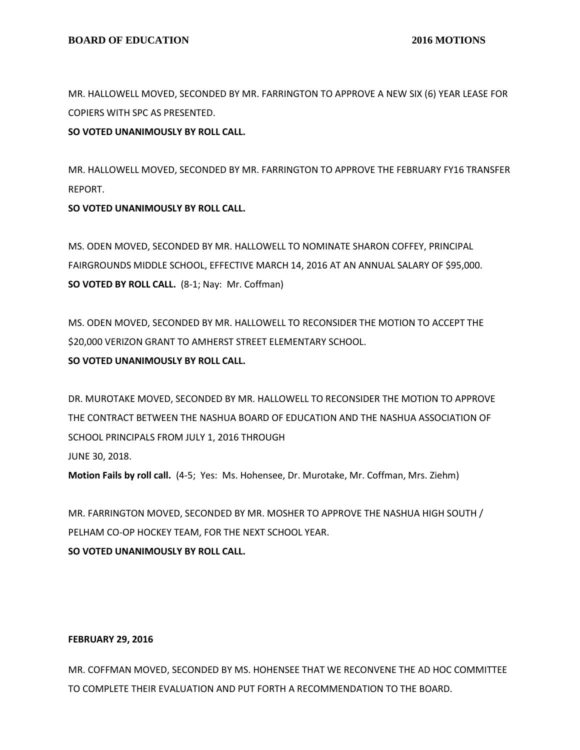MR. HALLOWELL MOVED, SECONDED BY MR. FARRINGTON TO APPROVE A NEW SIX (6) YEAR LEASE FOR COPIERS WITH SPC AS PRESENTED.

### **SO VOTED UNANIMOUSLY BY ROLL CALL.**

MR. HALLOWELL MOVED, SECONDED BY MR. FARRINGTON TO APPROVE THE FEBRUARY FY16 TRANSFER REPORT.

### **SO VOTED UNANIMOUSLY BY ROLL CALL.**

MS. ODEN MOVED, SECONDED BY MR. HALLOWELL TO NOMINATE SHARON COFFEY, PRINCIPAL FAIRGROUNDS MIDDLE SCHOOL, EFFECTIVE MARCH 14, 2016 AT AN ANNUAL SALARY OF \$95,000. **SO VOTED BY ROLL CALL.** (8-1; Nay: Mr. Coffman)

MS. ODEN MOVED, SECONDED BY MR. HALLOWELL TO RECONSIDER THE MOTION TO ACCEPT THE \$20,000 VERIZON GRANT TO AMHERST STREET ELEMENTARY SCHOOL. **SO VOTED UNANIMOUSLY BY ROLL CALL.**

DR. MUROTAKE MOVED, SECONDED BY MR. HALLOWELL TO RECONSIDER THE MOTION TO APPROVE THE CONTRACT BETWEEN THE NASHUA BOARD OF EDUCATION AND THE NASHUA ASSOCIATION OF SCHOOL PRINCIPALS FROM JULY 1, 2016 THROUGH JUNE 30, 2018. **Motion Fails by roll call.** (4-5; Yes: Ms. Hohensee, Dr. Murotake, Mr. Coffman, Mrs. Ziehm)

MR. FARRINGTON MOVED, SECONDED BY MR. MOSHER TO APPROVE THE NASHUA HIGH SOUTH / PELHAM CO-OP HOCKEY TEAM, FOR THE NEXT SCHOOL YEAR.

# **SO VOTED UNANIMOUSLY BY ROLL CALL.**

#### **FEBRUARY 29, 2016**

MR. COFFMAN MOVED, SECONDED BY MS. HOHENSEE THAT WE RECONVENE THE AD HOC COMMITTEE TO COMPLETE THEIR EVALUATION AND PUT FORTH A RECOMMENDATION TO THE BOARD.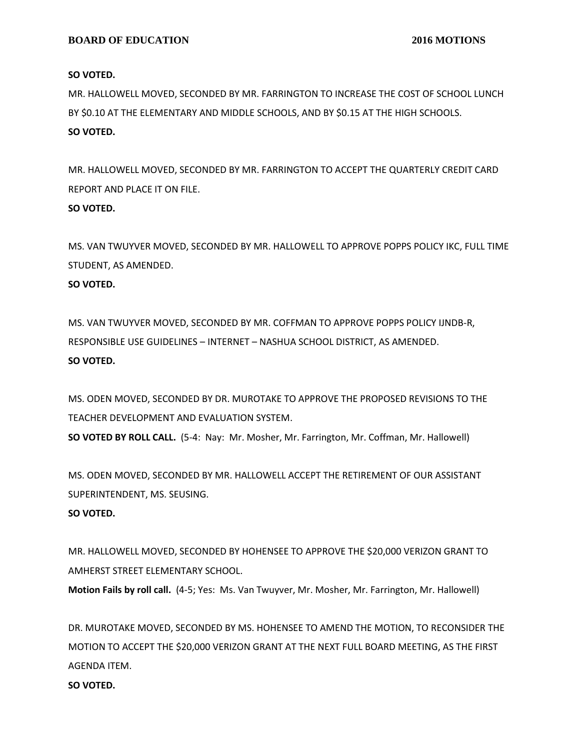#### **SO VOTED.**

MR. HALLOWELL MOVED, SECONDED BY MR. FARRINGTON TO INCREASE THE COST OF SCHOOL LUNCH BY \$0.10 AT THE ELEMENTARY AND MIDDLE SCHOOLS, AND BY \$0.15 AT THE HIGH SCHOOLS. **SO VOTED.**

MR. HALLOWELL MOVED, SECONDED BY MR. FARRINGTON TO ACCEPT THE QUARTERLY CREDIT CARD REPORT AND PLACE IT ON FILE.

# **SO VOTED.**

MS. VAN TWUYVER MOVED, SECONDED BY MR. HALLOWELL TO APPROVE POPPS POLICY IKC, FULL TIME STUDENT, AS AMENDED.

# **SO VOTED.**

MS. VAN TWUYVER MOVED, SECONDED BY MR. COFFMAN TO APPROVE POPPS POLICY IJNDB-R, RESPONSIBLE USE GUIDELINES – INTERNET – NASHUA SCHOOL DISTRICT, AS AMENDED. **SO VOTED.**

MS. ODEN MOVED, SECONDED BY DR. MUROTAKE TO APPROVE THE PROPOSED REVISIONS TO THE TEACHER DEVELOPMENT AND EVALUATION SYSTEM. **SO VOTED BY ROLL CALL.** (5-4: Nay: Mr. Mosher, Mr. Farrington, Mr. Coffman, Mr. Hallowell)

MS. ODEN MOVED, SECONDED BY MR. HALLOWELL ACCEPT THE RETIREMENT OF OUR ASSISTANT

SUPERINTENDENT, MS. SEUSING.

# **SO VOTED.**

MR. HALLOWELL MOVED, SECONDED BY HOHENSEE TO APPROVE THE \$20,000 VERIZON GRANT TO AMHERST STREET ELEMENTARY SCHOOL.

**Motion Fails by roll call.** (4-5; Yes: Ms. Van Twuyver, Mr. Mosher, Mr. Farrington, Mr. Hallowell)

DR. MUROTAKE MOVED, SECONDED BY MS. HOHENSEE TO AMEND THE MOTION, TO RECONSIDER THE MOTION TO ACCEPT THE \$20,000 VERIZON GRANT AT THE NEXT FULL BOARD MEETING, AS THE FIRST AGENDA ITEM.

#### **SO VOTED.**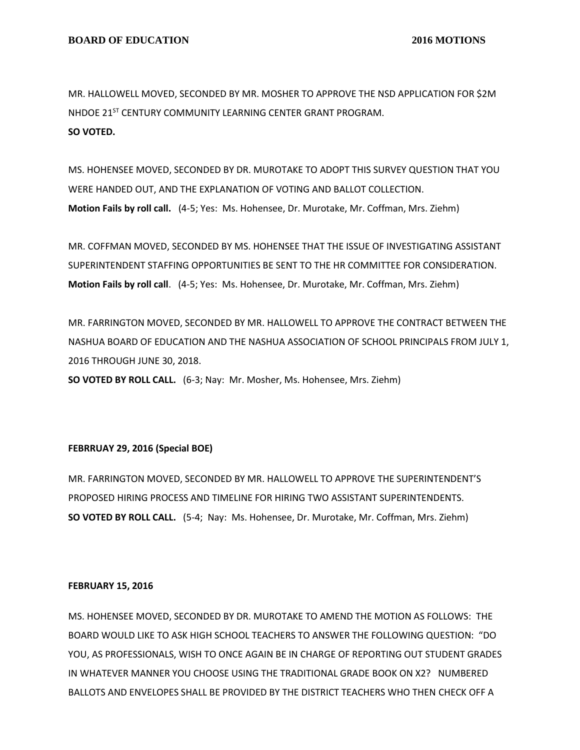MR. HALLOWELL MOVED, SECONDED BY MR. MOSHER TO APPROVE THE NSD APPLICATION FOR \$2M NHDOE 21<sup>ST</sup> CENTURY COMMUNITY LEARNING CENTER GRANT PROGRAM. **SO VOTED.**

MS. HOHENSEE MOVED, SECONDED BY DR. MUROTAKE TO ADOPT THIS SURVEY QUESTION THAT YOU WERE HANDED OUT, AND THE EXPLANATION OF VOTING AND BALLOT COLLECTION. **Motion Fails by roll call.** (4-5; Yes: Ms. Hohensee, Dr. Murotake, Mr. Coffman, Mrs. Ziehm)

MR. COFFMAN MOVED, SECONDED BY MS. HOHENSEE THAT THE ISSUE OF INVESTIGATING ASSISTANT SUPERINTENDENT STAFFING OPPORTUNITIES BE SENT TO THE HR COMMITTEE FOR CONSIDERATION. **Motion Fails by roll call**. (4-5; Yes: Ms. Hohensee, Dr. Murotake, Mr. Coffman, Mrs. Ziehm)

MR. FARRINGTON MOVED, SECONDED BY MR. HALLOWELL TO APPROVE THE CONTRACT BETWEEN THE NASHUA BOARD OF EDUCATION AND THE NASHUA ASSOCIATION OF SCHOOL PRINCIPALS FROM JULY 1, 2016 THROUGH JUNE 30, 2018.

**SO VOTED BY ROLL CALL.** (6-3; Nay: Mr. Mosher, Ms. Hohensee, Mrs. Ziehm)

#### **FEBRRUAY 29, 2016 (Special BOE)**

MR. FARRINGTON MOVED, SECONDED BY MR. HALLOWELL TO APPROVE THE SUPERINTENDENT'S PROPOSED HIRING PROCESS AND TIMELINE FOR HIRING TWO ASSISTANT SUPERINTENDENTS. **SO VOTED BY ROLL CALL.** (5-4; Nay: Ms. Hohensee, Dr. Murotake, Mr. Coffman, Mrs. Ziehm)

#### **FEBRUARY 15, 2016**

MS. HOHENSEE MOVED, SECONDED BY DR. MUROTAKE TO AMEND THE MOTION AS FOLLOWS: THE BOARD WOULD LIKE TO ASK HIGH SCHOOL TEACHERS TO ANSWER THE FOLLOWING QUESTION: "DO YOU, AS PROFESSIONALS, WISH TO ONCE AGAIN BE IN CHARGE OF REPORTING OUT STUDENT GRADES IN WHATEVER MANNER YOU CHOOSE USING THE TRADITIONAL GRADE BOOK ON X2? NUMBERED BALLOTS AND ENVELOPES SHALL BE PROVIDED BY THE DISTRICT TEACHERS WHO THEN CHECK OFF A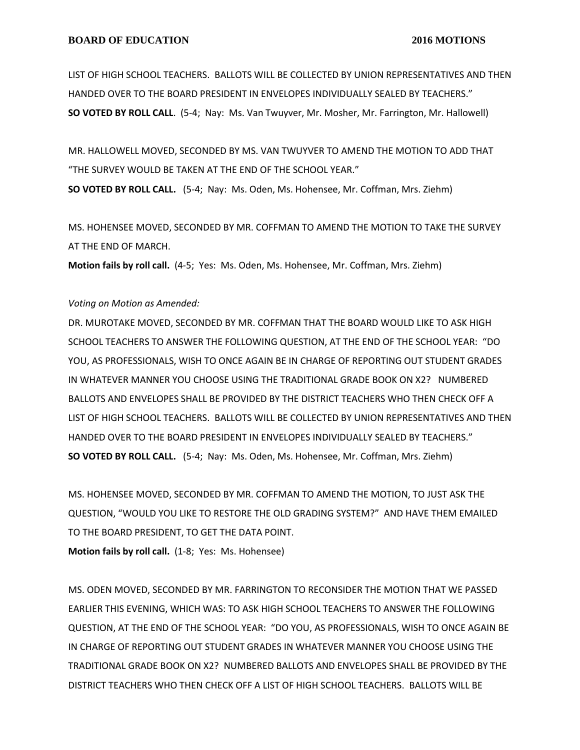LIST OF HIGH SCHOOL TEACHERS. BALLOTS WILL BE COLLECTED BY UNION REPRESENTATIVES AND THEN HANDED OVER TO THE BOARD PRESIDENT IN ENVELOPES INDIVIDUALLY SEALED BY TEACHERS." **SO VOTED BY ROLL CALL**. (5-4; Nay: Ms. Van Twuyver, Mr. Mosher, Mr. Farrington, Mr. Hallowell)

MR. HALLOWELL MOVED, SECONDED BY MS. VAN TWUYVER TO AMEND THE MOTION TO ADD THAT "THE SURVEY WOULD BE TAKEN AT THE END OF THE SCHOOL YEAR." **SO VOTED BY ROLL CALL.** (5-4; Nay: Ms. Oden, Ms. Hohensee, Mr. Coffman, Mrs. Ziehm)

MS. HOHENSEE MOVED, SECONDED BY MR. COFFMAN TO AMEND THE MOTION TO TAKE THE SURVEY AT THE END OF MARCH.

**Motion fails by roll call.** (4-5; Yes: Ms. Oden, Ms. Hohensee, Mr. Coffman, Mrs. Ziehm)

#### *Voting on Motion as Amended:*

DR. MUROTAKE MOVED, SECONDED BY MR. COFFMAN THAT THE BOARD WOULD LIKE TO ASK HIGH SCHOOL TEACHERS TO ANSWER THE FOLLOWING QUESTION, AT THE END OF THE SCHOOL YEAR: "DO YOU, AS PROFESSIONALS, WISH TO ONCE AGAIN BE IN CHARGE OF REPORTING OUT STUDENT GRADES IN WHATEVER MANNER YOU CHOOSE USING THE TRADITIONAL GRADE BOOK ON X2? NUMBERED BALLOTS AND ENVELOPES SHALL BE PROVIDED BY THE DISTRICT TEACHERS WHO THEN CHECK OFF A LIST OF HIGH SCHOOL TEACHERS. BALLOTS WILL BE COLLECTED BY UNION REPRESENTATIVES AND THEN HANDED OVER TO THE BOARD PRESIDENT IN ENVELOPES INDIVIDUALLY SEALED BY TEACHERS." **SO VOTED BY ROLL CALL.** (5-4; Nay: Ms. Oden, Ms. Hohensee, Mr. Coffman, Mrs. Ziehm)

MS. HOHENSEE MOVED, SECONDED BY MR. COFFMAN TO AMEND THE MOTION, TO JUST ASK THE QUESTION, "WOULD YOU LIKE TO RESTORE THE OLD GRADING SYSTEM?" AND HAVE THEM EMAILED TO THE BOARD PRESIDENT, TO GET THE DATA POINT.

**Motion fails by roll call.** (1-8; Yes: Ms. Hohensee)

MS. ODEN MOVED, SECONDED BY MR. FARRINGTON TO RECONSIDER THE MOTION THAT WE PASSED EARLIER THIS EVENING, WHICH WAS: TO ASK HIGH SCHOOL TEACHERS TO ANSWER THE FOLLOWING QUESTION, AT THE END OF THE SCHOOL YEAR: "DO YOU, AS PROFESSIONALS, WISH TO ONCE AGAIN BE IN CHARGE OF REPORTING OUT STUDENT GRADES IN WHATEVER MANNER YOU CHOOSE USING THE TRADITIONAL GRADE BOOK ON X2? NUMBERED BALLOTS AND ENVELOPES SHALL BE PROVIDED BY THE DISTRICT TEACHERS WHO THEN CHECK OFF A LIST OF HIGH SCHOOL TEACHERS. BALLOTS WILL BE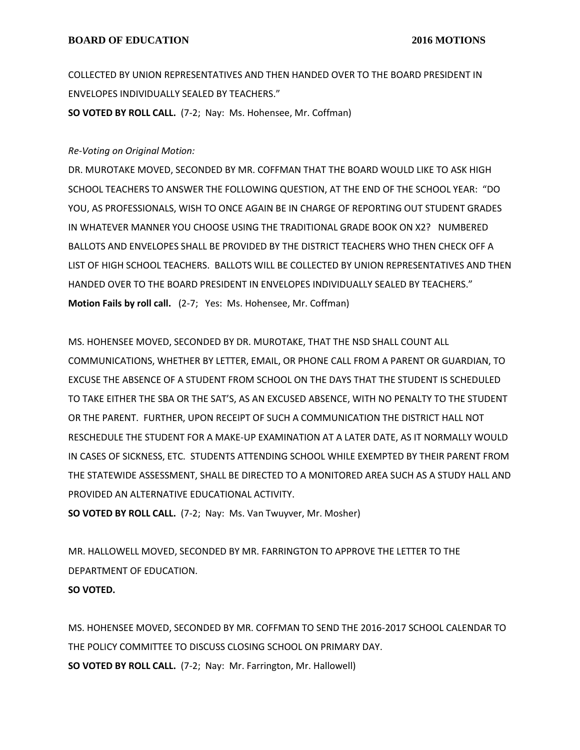COLLECTED BY UNION REPRESENTATIVES AND THEN HANDED OVER TO THE BOARD PRESIDENT IN ENVELOPES INDIVIDUALLY SEALED BY TEACHERS." **SO VOTED BY ROLL CALL.** (7-2; Nay: Ms. Hohensee, Mr. Coffman)

# *Re-Voting on Original Motion:*

DR. MUROTAKE MOVED, SECONDED BY MR. COFFMAN THAT THE BOARD WOULD LIKE TO ASK HIGH SCHOOL TEACHERS TO ANSWER THE FOLLOWING QUESTION, AT THE END OF THE SCHOOL YEAR: "DO YOU, AS PROFESSIONALS, WISH TO ONCE AGAIN BE IN CHARGE OF REPORTING OUT STUDENT GRADES IN WHATEVER MANNER YOU CHOOSE USING THE TRADITIONAL GRADE BOOK ON X2? NUMBERED BALLOTS AND ENVELOPES SHALL BE PROVIDED BY THE DISTRICT TEACHERS WHO THEN CHECK OFF A LIST OF HIGH SCHOOL TEACHERS. BALLOTS WILL BE COLLECTED BY UNION REPRESENTATIVES AND THEN HANDED OVER TO THE BOARD PRESIDENT IN ENVELOPES INDIVIDUALLY SEALED BY TEACHERS." **Motion Fails by roll call.** (2-7; Yes: Ms. Hohensee, Mr. Coffman)

MS. HOHENSEE MOVED, SECONDED BY DR. MUROTAKE, THAT THE NSD SHALL COUNT ALL COMMUNICATIONS, WHETHER BY LETTER, EMAIL, OR PHONE CALL FROM A PARENT OR GUARDIAN, TO EXCUSE THE ABSENCE OF A STUDENT FROM SCHOOL ON THE DAYS THAT THE STUDENT IS SCHEDULED TO TAKE EITHER THE SBA OR THE SAT'S, AS AN EXCUSED ABSENCE, WITH NO PENALTY TO THE STUDENT OR THE PARENT. FURTHER, UPON RECEIPT OF SUCH A COMMUNICATION THE DISTRICT HALL NOT RESCHEDULE THE STUDENT FOR A MAKE-UP EXAMINATION AT A LATER DATE, AS IT NORMALLY WOULD IN CASES OF SICKNESS, ETC. STUDENTS ATTENDING SCHOOL WHILE EXEMPTED BY THEIR PARENT FROM THE STATEWIDE ASSESSMENT, SHALL BE DIRECTED TO A MONITORED AREA SUCH AS A STUDY HALL AND PROVIDED AN ALTERNATIVE EDUCATIONAL ACTIVITY.

**SO VOTED BY ROLL CALL.** (7-2; Nay: Ms. Van Twuyver, Mr. Mosher)

MR. HALLOWELL MOVED, SECONDED BY MR. FARRINGTON TO APPROVE THE LETTER TO THE DEPARTMENT OF EDUCATION.

## **SO VOTED.**

MS. HOHENSEE MOVED, SECONDED BY MR. COFFMAN TO SEND THE 2016-2017 SCHOOL CALENDAR TO THE POLICY COMMITTEE TO DISCUSS CLOSING SCHOOL ON PRIMARY DAY. **SO VOTED BY ROLL CALL.** (7-2; Nay: Mr. Farrington, Mr. Hallowell)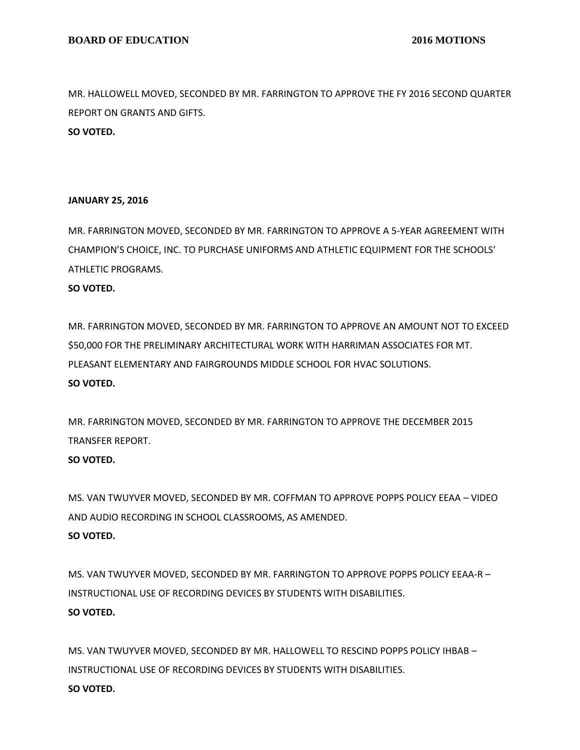MR. HALLOWELL MOVED, SECONDED BY MR. FARRINGTON TO APPROVE THE FY 2016 SECOND QUARTER REPORT ON GRANTS AND GIFTS. **SO VOTED.**

### **JANUARY 25, 2016**

MR. FARRINGTON MOVED, SECONDED BY MR. FARRINGTON TO APPROVE A 5-YEAR AGREEMENT WITH CHAMPION'S CHOICE, INC. TO PURCHASE UNIFORMS AND ATHLETIC EQUIPMENT FOR THE SCHOOLS' ATHLETIC PROGRAMS. **SO VOTED.**

MR. FARRINGTON MOVED, SECONDED BY MR. FARRINGTON TO APPROVE AN AMOUNT NOT TO EXCEED \$50,000 FOR THE PRELIMINARY ARCHITECTURAL WORK WITH HARRIMAN ASSOCIATES FOR MT. PLEASANT ELEMENTARY AND FAIRGROUNDS MIDDLE SCHOOL FOR HVAC SOLUTIONS. **SO VOTED.**

MR. FARRINGTON MOVED, SECONDED BY MR. FARRINGTON TO APPROVE THE DECEMBER 2015 TRANSFER REPORT.

### **SO VOTED.**

MS. VAN TWUYVER MOVED, SECONDED BY MR. COFFMAN TO APPROVE POPPS POLICY EEAA – VIDEO AND AUDIO RECORDING IN SCHOOL CLASSROOMS, AS AMENDED. **SO VOTED.**

MS. VAN TWUYVER MOVED, SECONDED BY MR. FARRINGTON TO APPROVE POPPS POLICY EEAA-R – INSTRUCTIONAL USE OF RECORDING DEVICES BY STUDENTS WITH DISABILITIES. **SO VOTED.**

MS. VAN TWUYVER MOVED, SECONDED BY MR. HALLOWELL TO RESCIND POPPS POLICY IHBAB – INSTRUCTIONAL USE OF RECORDING DEVICES BY STUDENTS WITH DISABILITIES. **SO VOTED.**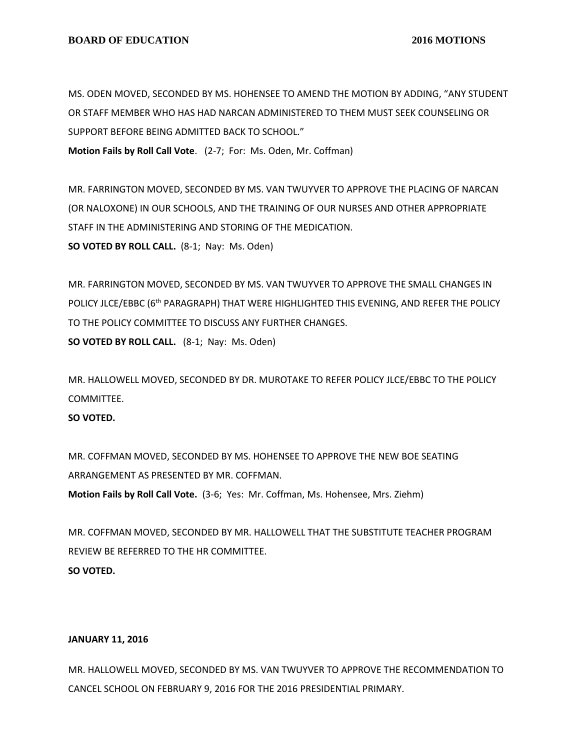MS. ODEN MOVED, SECONDED BY MS. HOHENSEE TO AMEND THE MOTION BY ADDING, "ANY STUDENT OR STAFF MEMBER WHO HAS HAD NARCAN ADMINISTERED TO THEM MUST SEEK COUNSELING OR SUPPORT BEFORE BEING ADMITTED BACK TO SCHOOL." **Motion Fails by Roll Call Vote**. (2-7; For: Ms. Oden, Mr. Coffman)

MR. FARRINGTON MOVED, SECONDED BY MS. VAN TWUYVER TO APPROVE THE PLACING OF NARCAN (OR NALOXONE) IN OUR SCHOOLS, AND THE TRAINING OF OUR NURSES AND OTHER APPROPRIATE STAFF IN THE ADMINISTERING AND STORING OF THE MEDICATION. **SO VOTED BY ROLL CALL.** (8-1; Nay: Ms. Oden)

MR. FARRINGTON MOVED, SECONDED BY MS. VAN TWUYVER TO APPROVE THE SMALL CHANGES IN POLICY JLCE/EBBC (6<sup>th</sup> PARAGRAPH) THAT WERE HIGHLIGHTED THIS EVENING, AND REFER THE POLICY TO THE POLICY COMMITTEE TO DISCUSS ANY FURTHER CHANGES. **SO VOTED BY ROLL CALL.** (8-1; Nay: Ms. Oden)

MR. HALLOWELL MOVED, SECONDED BY DR. MUROTAKE TO REFER POLICY JLCE/EBBC TO THE POLICY COMMITTEE.

**SO VOTED.**

MR. COFFMAN MOVED, SECONDED BY MS. HOHENSEE TO APPROVE THE NEW BOE SEATING ARRANGEMENT AS PRESENTED BY MR. COFFMAN.

**Motion Fails by Roll Call Vote.** (3-6; Yes: Mr. Coffman, Ms. Hohensee, Mrs. Ziehm)

MR. COFFMAN MOVED, SECONDED BY MR. HALLOWELL THAT THE SUBSTITUTE TEACHER PROGRAM REVIEW BE REFERRED TO THE HR COMMITTEE. **SO VOTED.**

#### **JANUARY 11, 2016**

MR. HALLOWELL MOVED, SECONDED BY MS. VAN TWUYVER TO APPROVE THE RECOMMENDATION TO CANCEL SCHOOL ON FEBRUARY 9, 2016 FOR THE 2016 PRESIDENTIAL PRIMARY.